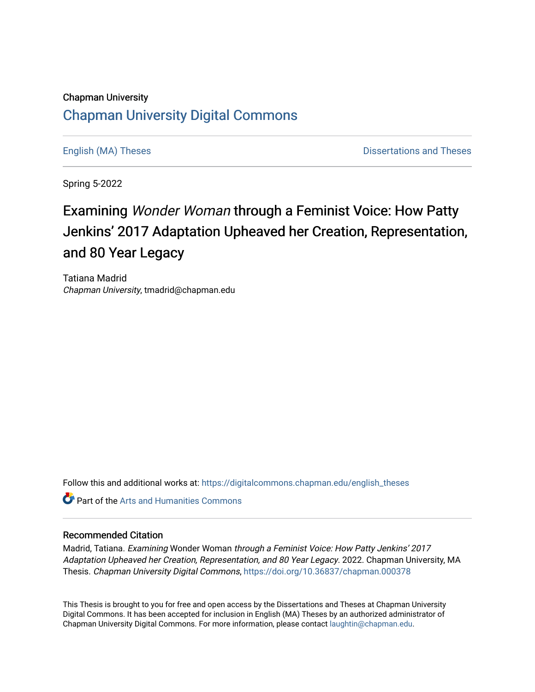## Chapman University [Chapman University Digital Commons](https://digitalcommons.chapman.edu/)

[English \(MA\) Theses](https://digitalcommons.chapman.edu/english_theses) **Distributions** and Theses **Distributions** and Theses

Spring 5-2022

## Examining Wonder Woman through a Feminist Voice: How Patty Jenkins' 2017 Adaptation Upheaved her Creation, Representation, and 80 Year Legacy

Tatiana Madrid Chapman University, tmadrid@chapman.edu

Follow this and additional works at: [https://digitalcommons.chapman.edu/english\\_theses](https://digitalcommons.chapman.edu/english_theses?utm_source=digitalcommons.chapman.edu%2Fenglish_theses%2F51&utm_medium=PDF&utm_campaign=PDFCoverPages) 

**C** Part of the Arts and Humanities Commons

#### Recommended Citation

Madrid, Tatiana. Examining Wonder Woman through a Feminist Voice: How Patty Jenkins' 2017 Adaptation Upheaved her Creation, Representation, and 80 Year Legacy. 2022. Chapman University, MA Thesis. Chapman University Digital Commons,<https://doi.org/10.36837/chapman.000378>

This Thesis is brought to you for free and open access by the Dissertations and Theses at Chapman University Digital Commons. It has been accepted for inclusion in English (MA) Theses by an authorized administrator of Chapman University Digital Commons. For more information, please contact [laughtin@chapman.edu](mailto:laughtin@chapman.edu).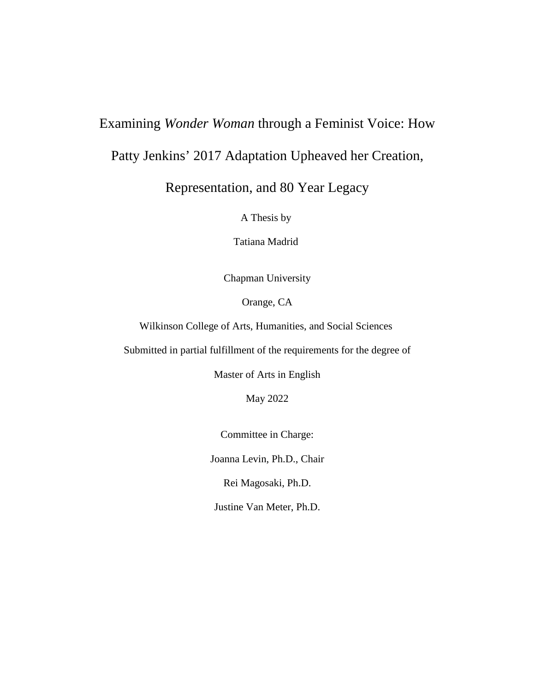### Examining *Wonder Woman* through a Feminist Voice: How

Patty Jenkins' 2017 Adaptation Upheaved her Creation,

Representation, and 80 Year Legacy

A Thesis by

Tatiana Madrid

Chapman University

Orange, CA

Wilkinson College of Arts, Humanities, and Social Sciences

Submitted in partial fulfillment of the requirements for the degree of

Master of Arts in English

May 2022

Committee in Charge:

Joanna Levin, Ph.D., Chair

Rei Magosaki, Ph.D.

Justine Van Meter, Ph.D.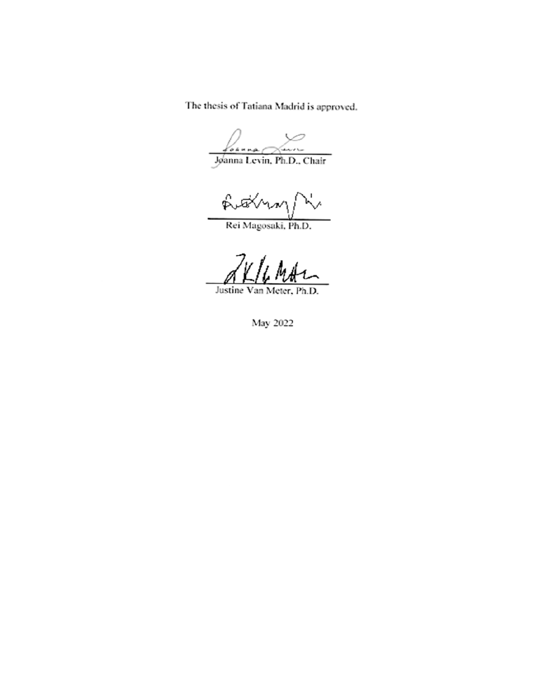The thesis of Tatiana Madrid is approved.

(save foruma

Joanna Levin, Ph.D., Chair

futilmar) √.

Rei Magosaki, Ph.D.

Justine Van Meter, Ph.D.

May 2022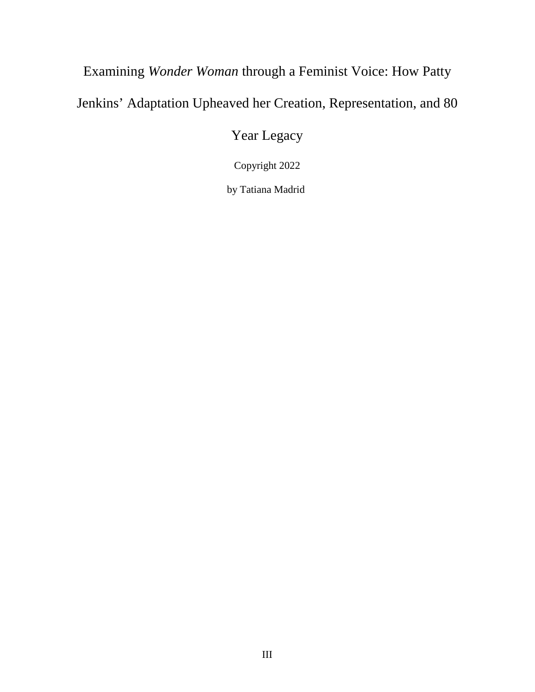# Examining *Wonder Woman* through a Feminist Voice: How Patty Jenkins' Adaptation Upheaved her Creation, Representation, and 80

Year Legacy

Copyright 2022

by Tatiana Madrid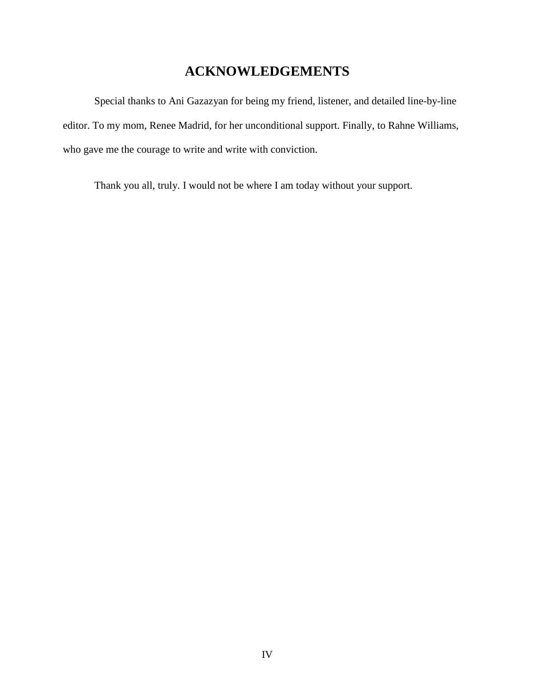## **ACKNOWLEDGEMENTS**

Special thanks to Ani Gazazyan for being my friend, listener, and detailed line-by-line editor. To my mom, Renee Madrid, for her unconditional support. Finally, to Rahne Williams, who gave me the courage to write and write with conviction.

Thank you all, truly. I would not be where I am today without your support.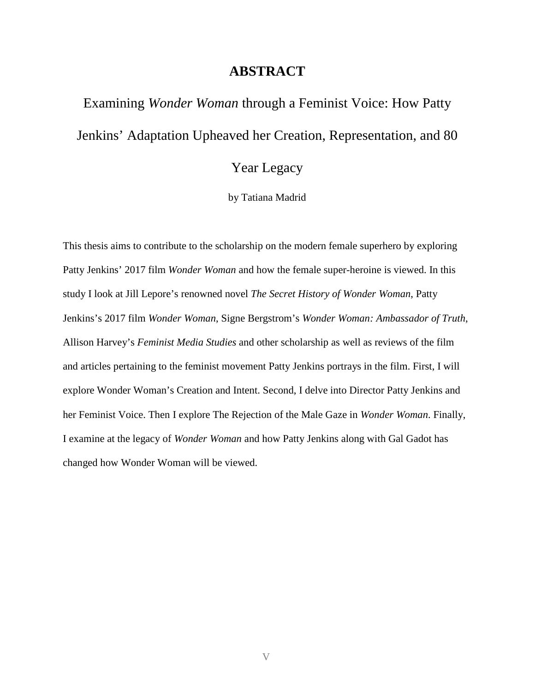#### **ABSTRACT**

Examining *Wonder Woman* through a Feminist Voice: How Patty Jenkins' Adaptation Upheaved her Creation, Representation, and 80

## Year Legacy

by Tatiana Madrid

This thesis aims to contribute to the scholarship on the modern female superhero by exploring Patty Jenkins' 2017 film *Wonder Woman* and how the female super-heroine is viewed. In this study I look at Jill Lepore's renowned novel *The Secret History of Wonder Woman*, Patty Jenkins's 2017 film *Wonder Woman*, Signe Bergstrom's *Wonder Woman: Ambassador of Truth*, Allison Harvey's *Feminist Media Studies* and other scholarship as well as reviews of the film and articles pertaining to the feminist movement Patty Jenkins portrays in the film. First, I will explore Wonder Woman's Creation and Intent. Second, I delve into Director Patty Jenkins and her Feminist Voice. Then I explore The Rejection of the Male Gaze in *Wonder Woman*. Finally, I examine at the legacy of *Wonder Woman* and how Patty Jenkins along with Gal Gadot has changed how Wonder Woman will be viewed.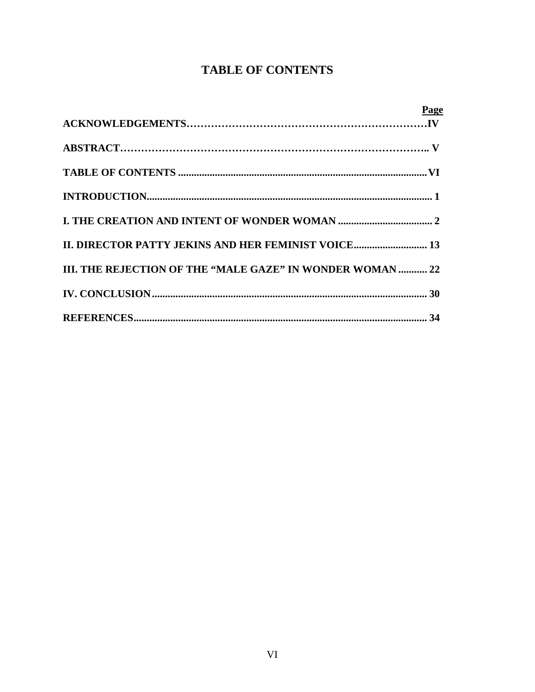## **TABLE OF CONTENTS**

| Page                                                      |
|-----------------------------------------------------------|
|                                                           |
|                                                           |
|                                                           |
|                                                           |
|                                                           |
|                                                           |
| III. THE REJECTION OF THE "MALE GAZE" IN WONDER WOMAN  22 |
|                                                           |
|                                                           |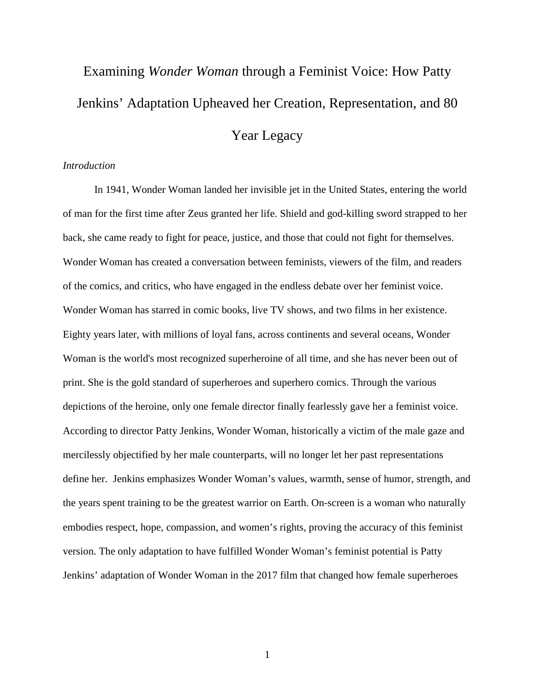# Examining *Wonder Woman* through a Feminist Voice: How Patty Jenkins' Adaptation Upheaved her Creation, Representation, and 80

### Year Legacy

#### *Introduction*

In 1941, Wonder Woman landed her invisible jet in the United States, entering the world of man for the first time after Zeus granted her life. Shield and god-killing sword strapped to her back, she came ready to fight for peace, justice, and those that could not fight for themselves. Wonder Woman has created a conversation between feminists, viewers of the film, and readers of the comics, and critics, who have engaged in the endless debate over her feminist voice. Wonder Woman has starred in comic books, live TV shows, and two films in her existence. Eighty years later, with millions of loyal fans, across continents and several oceans, Wonder Woman is the world's most recognized superheroine of all time, and she has never been out of print. She is the gold standard of superheroes and superhero comics. Through the various depictions of the heroine, only one female director finally fearlessly gave her a feminist voice. According to director Patty Jenkins, Wonder Woman, historically a victim of the male gaze and mercilessly objectified by her male counterparts, will no longer let her past representations define her. Jenkins emphasizes Wonder Woman's values, warmth, sense of humor, strength, and the years spent training to be the greatest warrior on Earth. On-screen is a woman who naturally embodies respect, hope, compassion, and women's rights, proving the accuracy of this feminist version. The only adaptation to have fulfilled Wonder Woman's feminist potential is Patty Jenkins' adaptation of Wonder Woman in the 2017 film that changed how female superheroes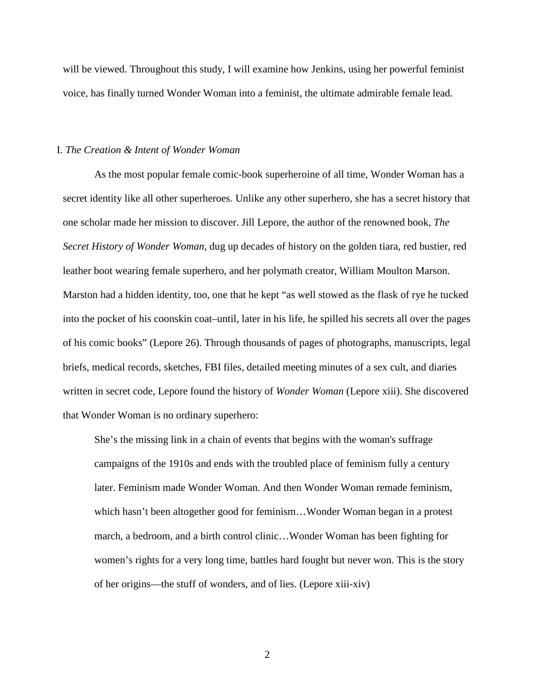will be viewed. Throughout this study, I will examine how Jenkins, using her powerful feminist voice, has finally turned Wonder Woman into a feminist, the ultimate admirable female lead.

#### I. *The Creation & Intent of Wonder Woman*

As the most popular female comic-book superheroine of all time, Wonder Woman has a secret identity like all other superheroes. Unlike any other superhero, she has a secret history that one scholar made her mission to discover. Jill Lepore, the author of the renowned book, *The Secret History of Wonder Woman*, dug up decades of history on the golden tiara, red bustier, red leather boot wearing female superhero, and her polymath creator, William Moulton Marson. Marston had a hidden identity, too, one that he kept "as well stowed as the flask of rye he tucked into the pocket of his coonskin coat–until, later in his life, he spilled his secrets all over the pages of his comic books" (Lepore 26). Through thousands of pages of photographs, manuscripts, legal briefs, medical records, sketches, FBI files, detailed meeting minutes of a sex cult, and diaries written in secret code, Lepore found the history of *Wonder Woman* (Lepore xiii). She discovered that Wonder Woman is no ordinary superhero:

She's the missing link in a chain of events that begins with the woman's suffrage campaigns of the 1910s and ends with the troubled place of feminism fully a century later. Feminism made Wonder Woman. And then Wonder Woman remade feminism, which hasn't been altogether good for feminism…Wonder Woman began in a protest march, a bedroom, and a birth control clinic…Wonder Woman has been fighting for women's rights for a very long time, battles hard fought but never won. This is the story of her origins—the stuff of wonders, and of lies. (Lepore xiii-xiv)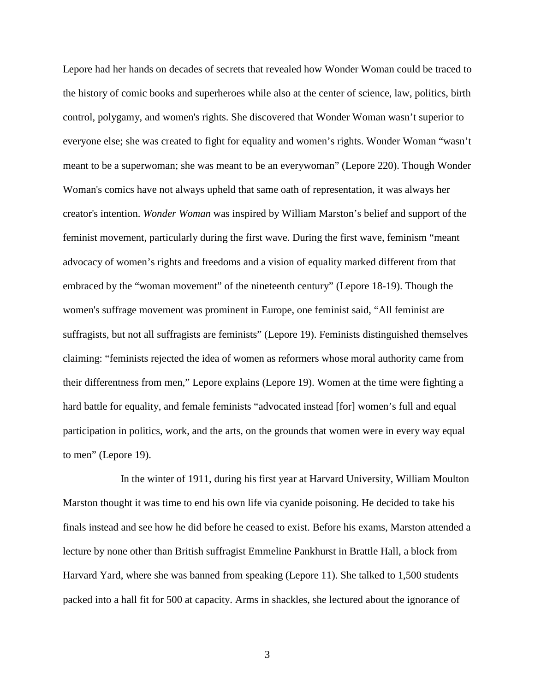Lepore had her hands on decades of secrets that revealed how Wonder Woman could be traced to the history of comic books and superheroes while also at the center of science, law, politics, birth control, polygamy, and women's rights. She discovered that Wonder Woman wasn't superior to everyone else; she was created to fight for equality and women's rights. Wonder Woman "wasn't meant to be a superwoman; she was meant to be an everywoman" (Lepore 220). Though Wonder Woman's comics have not always upheld that same oath of representation, it was always her creator's intention. *Wonder Woman* was inspired by William Marston's belief and support of the feminist movement, particularly during the first wave. During the first wave, feminism "meant advocacy of women's rights and freedoms and a vision of equality marked different from that embraced by the "woman movement" of the nineteenth century" (Lepore 18-19). Though the women's suffrage movement was prominent in Europe, one feminist said, "All feminist are suffragists, but not all suffragists are feminists" (Lepore 19). Feminists distinguished themselves claiming: "feminists rejected the idea of women as reformers whose moral authority came from their differentness from men," Lepore explains (Lepore 19). Women at the time were fighting a hard battle for equality, and female feminists "advocated instead [for] women's full and equal participation in politics, work, and the arts, on the grounds that women were in every way equal to men" (Lepore 19).

 In the winter of 1911, during his first year at Harvard University, William Moulton Marston thought it was time to end his own life via cyanide poisoning. He decided to take his finals instead and see how he did before he ceased to exist. Before his exams, Marston attended a lecture by none other than British suffragist Emmeline Pankhurst in Brattle Hall, a block from Harvard Yard, where she was banned from speaking (Lepore 11). She talked to 1,500 students packed into a hall fit for 500 at capacity. Arms in shackles, she lectured about the ignorance of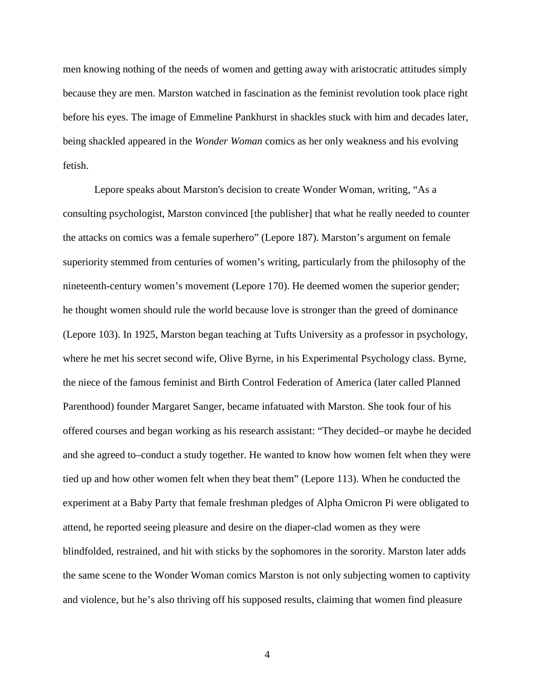men knowing nothing of the needs of women and getting away with aristocratic attitudes simply because they are men. Marston watched in fascination as the feminist revolution took place right before his eyes. The image of Emmeline Pankhurst in shackles stuck with him and decades later, being shackled appeared in the *Wonder Woman* comics as her only weakness and his evolving fetish.

Lepore speaks about Marston's decision to create Wonder Woman, writing, "As a consulting psychologist, Marston convinced [the publisher] that what he really needed to counter the attacks on comics was a female superhero" (Lepore 187). Marston's argument on female superiority stemmed from centuries of women's writing, particularly from the philosophy of the nineteenth-century women's movement (Lepore 170). He deemed women the superior gender; he thought women should rule the world because love is stronger than the greed of dominance (Lepore 103). In 1925, Marston began teaching at Tufts University as a professor in psychology, where he met his secret second wife, Olive Byrne, in his Experimental Psychology class. Byrne, the niece of the famous feminist and Birth Control Federation of America (later called Planned Parenthood) founder Margaret Sanger, became infatuated with Marston. She took four of his offered courses and began working as his research assistant: "They decided–or maybe he decided and she agreed to–conduct a study together. He wanted to know how women felt when they were tied up and how other women felt when they beat them" (Lepore 113). When he conducted the experiment at a Baby Party that female freshman pledges of Alpha Omicron Pi were obligated to attend, he reported seeing pleasure and desire on the diaper-clad women as they were blindfolded, restrained, and hit with sticks by the sophomores in the sorority. Marston later adds the same scene to the Wonder Woman comics Marston is not only subjecting women to captivity and violence, but he's also thriving off his supposed results, claiming that women find pleasure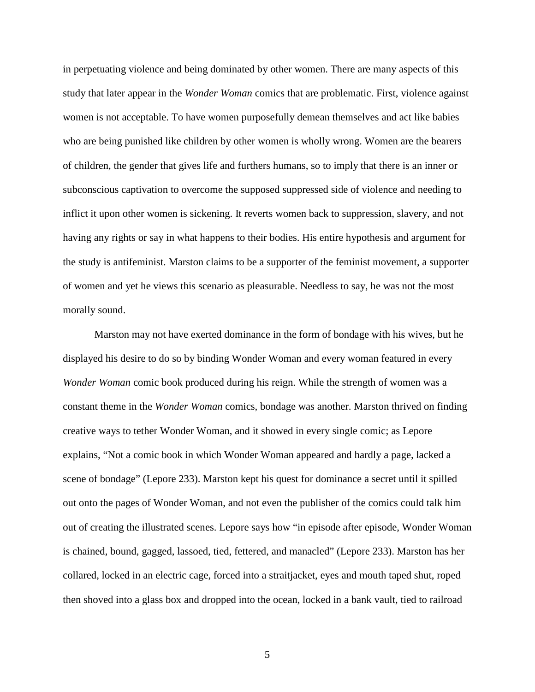in perpetuating violence and being dominated by other women. There are many aspects of this study that later appear in the *Wonder Woman* comics that are problematic. First, violence against women is not acceptable. To have women purposefully demean themselves and act like babies who are being punished like children by other women is wholly wrong. Women are the bearers of children, the gender that gives life and furthers humans, so to imply that there is an inner or subconscious captivation to overcome the supposed suppressed side of violence and needing to inflict it upon other women is sickening. It reverts women back to suppression, slavery, and not having any rights or say in what happens to their bodies. His entire hypothesis and argument for the study is antifeminist. Marston claims to be a supporter of the feminist movement, a supporter of women and yet he views this scenario as pleasurable. Needless to say, he was not the most morally sound.

Marston may not have exerted dominance in the form of bondage with his wives, but he displayed his desire to do so by binding Wonder Woman and every woman featured in every *Wonder Woman* comic book produced during his reign. While the strength of women was a constant theme in the *Wonder Woman* comics, bondage was another. Marston thrived on finding creative ways to tether Wonder Woman, and it showed in every single comic; as Lepore explains, "Not a comic book in which Wonder Woman appeared and hardly a page, lacked a scene of bondage" (Lepore 233). Marston kept his quest for dominance a secret until it spilled out onto the pages of Wonder Woman, and not even the publisher of the comics could talk him out of creating the illustrated scenes. Lepore says how "in episode after episode, Wonder Woman is chained, bound, gagged, lassoed, tied, fettered, and manacled" (Lepore 233). Marston has her collared, locked in an electric cage, forced into a straitjacket, eyes and mouth taped shut, roped then shoved into a glass box and dropped into the ocean, locked in a bank vault, tied to railroad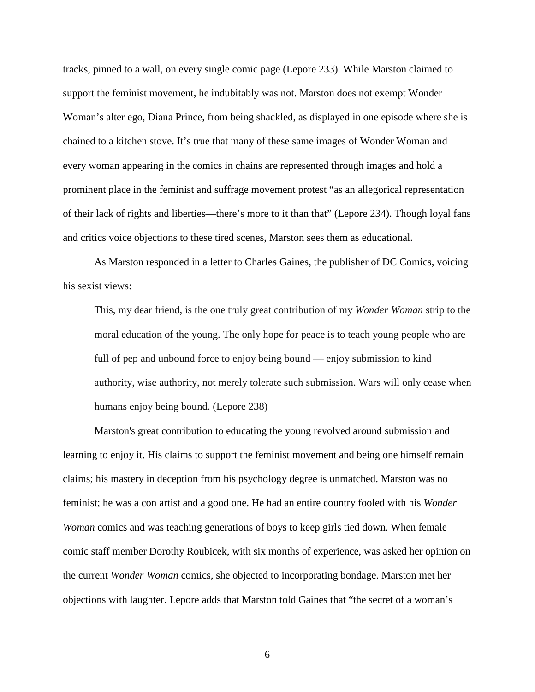tracks, pinned to a wall, on every single comic page (Lepore 233). While Marston claimed to support the feminist movement, he indubitably was not. Marston does not exempt Wonder Woman's alter ego, Diana Prince, from being shackled, as displayed in one episode where she is chained to a kitchen stove. It's true that many of these same images of Wonder Woman and every woman appearing in the comics in chains are represented through images and hold a prominent place in the feminist and suffrage movement protest "as an allegorical representation of their lack of rights and liberties—there's more to it than that" (Lepore 234). Though loyal fans and critics voice objections to these tired scenes, Marston sees them as educational.

As Marston responded in a letter to Charles Gaines, the publisher of DC Comics, voicing his sexist views:

This, my dear friend, is the one truly great contribution of my *Wonder Woman* strip to the moral education of the young. The only hope for peace is to teach young people who are full of pep and unbound force to enjoy being bound — enjoy submission to kind authority, wise authority, not merely tolerate such submission. Wars will only cease when humans enjoy being bound. (Lepore 238)

Marston's great contribution to educating the young revolved around submission and learning to enjoy it. His claims to support the feminist movement and being one himself remain claims; his mastery in deception from his psychology degree is unmatched. Marston was no feminist; he was a con artist and a good one. He had an entire country fooled with his *Wonder Woman* comics and was teaching generations of boys to keep girls tied down. When female comic staff member Dorothy Roubicek, with six months of experience, was asked her opinion on the current *Wonder Woman* comics, she objected to incorporating bondage. Marston met her objections with laughter. Lepore adds that Marston told Gaines that "the secret of a woman's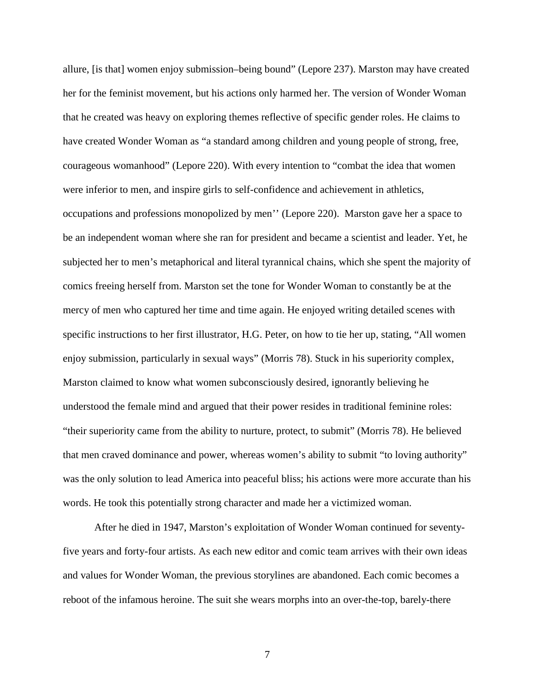allure, [is that] women enjoy submission–being bound" (Lepore 237). Marston may have created her for the feminist movement, but his actions only harmed her. The version of Wonder Woman that he created was heavy on exploring themes reflective of specific gender roles. He claims to have created Wonder Woman as "a standard among children and young people of strong, free, courageous womanhood" (Lepore 220). With every intention to "combat the idea that women were inferior to men, and inspire girls to self-confidence and achievement in athletics, occupations and professions monopolized by men'' (Lepore 220). Marston gave her a space to be an independent woman where she ran for president and became a scientist and leader. Yet, he subjected her to men's metaphorical and literal tyrannical chains, which she spent the majority of comics freeing herself from. Marston set the tone for Wonder Woman to constantly be at the mercy of men who captured her time and time again. He enjoyed writing detailed scenes with specific instructions to her first illustrator, H.G. Peter, on how to tie her up, stating, "All women enjoy submission, particularly in sexual ways" (Morris 78). Stuck in his superiority complex, Marston claimed to know what women subconsciously desired, ignorantly believing he understood the female mind and argued that their power resides in traditional feminine roles: "their superiority came from the ability to nurture, protect, to submit" (Morris 78). He believed that men craved dominance and power, whereas women's ability to submit "to loving authority" was the only solution to lead America into peaceful bliss; his actions were more accurate than his words. He took this potentially strong character and made her a victimized woman.

After he died in 1947, Marston's exploitation of Wonder Woman continued for seventyfive years and forty-four artists. As each new editor and comic team arrives with their own ideas and values for Wonder Woman, the previous storylines are abandoned. Each comic becomes a reboot of the infamous heroine. The suit she wears morphs into an over-the-top, barely-there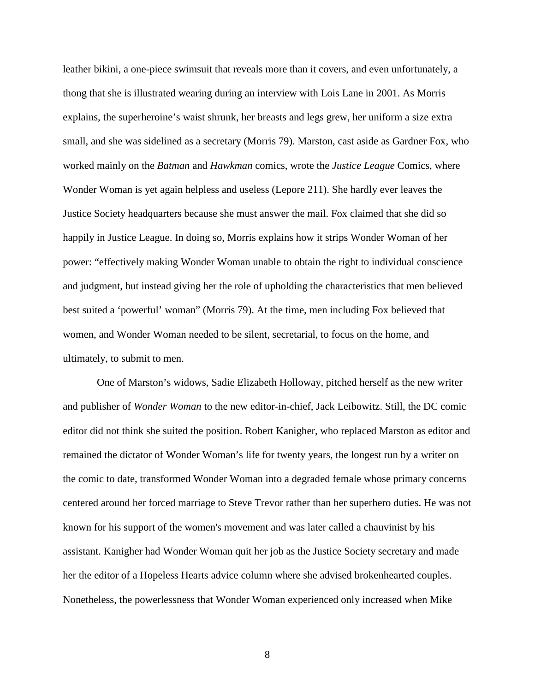leather bikini, a one-piece swimsuit that reveals more than it covers, and even unfortunately, a thong that she is illustrated wearing during an interview with Lois Lane in 2001. As Morris explains, the superheroine's waist shrunk, her breasts and legs grew, her uniform a size extra small, and she was sidelined as a secretary (Morris 79). Marston, cast aside as Gardner Fox, who worked mainly on the *Batman* and *Hawkman* comics, wrote the *Justice League* Comics, where Wonder Woman is yet again helpless and useless (Lepore 211). She hardly ever leaves the Justice Society headquarters because she must answer the mail. Fox claimed that she did so happily in Justice League. In doing so, Morris explains how it strips Wonder Woman of her power: "effectively making Wonder Woman unable to obtain the right to individual conscience and judgment, but instead giving her the role of upholding the characteristics that men believed best suited a 'powerful' woman" (Morris 79). At the time, men including Fox believed that women, and Wonder Woman needed to be silent, secretarial, to focus on the home, and ultimately, to submit to men.

 One of Marston's widows, Sadie Elizabeth Holloway, pitched herself as the new writer and publisher of *Wonder Woman* to the new editor-in-chief, Jack Leibowitz. Still, the DC comic editor did not think she suited the position. Robert Kanigher, who replaced Marston as editor and remained the dictator of Wonder Woman's life for twenty years, the longest run by a writer on the comic to date, transformed Wonder Woman into a degraded female whose primary concerns centered around her forced marriage to Steve Trevor rather than her superhero duties. He was not known for his support of the women's movement and was later called a chauvinist by his assistant. Kanigher had Wonder Woman quit her job as the Justice Society secretary and made her the editor of a Hopeless Hearts advice column where she advised brokenhearted couples. Nonetheless, the powerlessness that Wonder Woman experienced only increased when Mike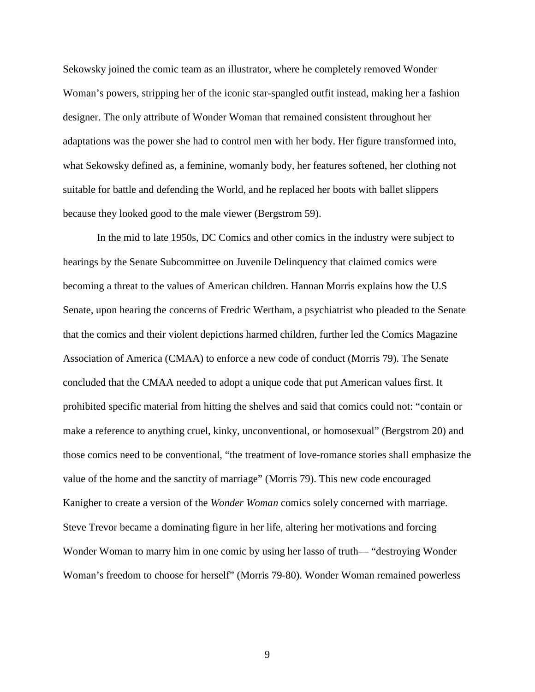Sekowsky joined the comic team as an illustrator, where he completely removed Wonder Woman's powers, stripping her of the iconic star-spangled outfit instead, making her a fashion designer. The only attribute of Wonder Woman that remained consistent throughout her adaptations was the power she had to control men with her body. Her figure transformed into, what Sekowsky defined as, a feminine, womanly body, her features softened, her clothing not suitable for battle and defending the World, and he replaced her boots with ballet slippers because they looked good to the male viewer (Bergstrom 59).

 In the mid to late 1950s, DC Comics and other comics in the industry were subject to hearings by the Senate Subcommittee on Juvenile Delinquency that claimed comics were becoming a threat to the values of American children. Hannan Morris explains how the U.S Senate, upon hearing the concerns of Fredric Wertham, a psychiatrist who pleaded to the Senate that the comics and their violent depictions harmed children, further led the Comics Magazine Association of America (CMAA) to enforce a new code of conduct (Morris 79). The Senate concluded that the CMAA needed to adopt a unique code that put American values first. It prohibited specific material from hitting the shelves and said that comics could not: "contain or make a reference to anything cruel, kinky, unconventional, or homosexual" (Bergstrom 20) and those comics need to be conventional, "the treatment of love-romance stories shall emphasize the value of the home and the sanctity of marriage" (Morris 79). This new code encouraged Kanigher to create a version of the *Wonder Woman* comics solely concerned with marriage. Steve Trevor became a dominating figure in her life, altering her motivations and forcing Wonder Woman to marry him in one comic by using her lasso of truth— "destroying Wonder Woman's freedom to choose for herself" (Morris 79-80). Wonder Woman remained powerless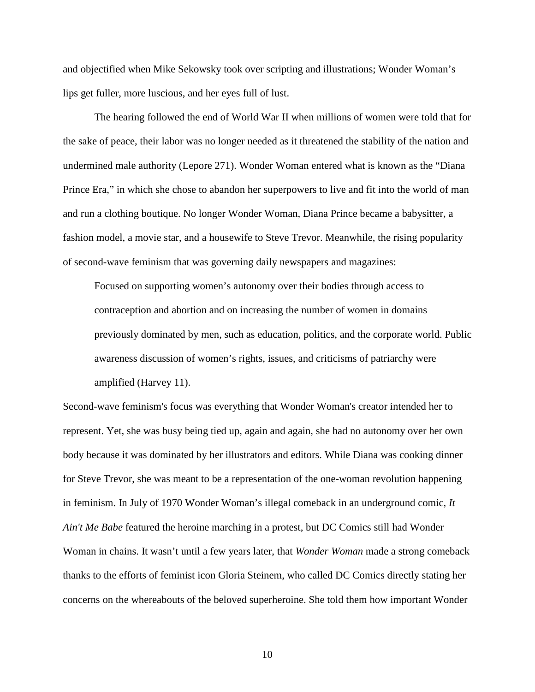and objectified when Mike Sekowsky took over scripting and illustrations; Wonder Woman's lips get fuller, more luscious, and her eyes full of lust.

The hearing followed the end of World War II when millions of women were told that for the sake of peace, their labor was no longer needed as it threatened the stability of the nation and undermined male authority (Lepore 271). Wonder Woman entered what is known as the "Diana Prince Era," in which she chose to abandon her superpowers to live and fit into the world of man and run a clothing boutique. No longer Wonder Woman, Diana Prince became a babysitter, a fashion model, a movie star, and a housewife to Steve Trevor. Meanwhile, the rising popularity of second-wave feminism that was governing daily newspapers and magazines:

Focused on supporting women's autonomy over their bodies through access to contraception and abortion and on increasing the number of women in domains previously dominated by men, such as education, politics, and the corporate world. Public awareness discussion of women's rights, issues, and criticisms of patriarchy were amplified (Harvey 11).

Second-wave feminism's focus was everything that Wonder Woman's creator intended her to represent. Yet, she was busy being tied up, again and again, she had no autonomy over her own body because it was dominated by her illustrators and editors. While Diana was cooking dinner for Steve Trevor, she was meant to be a representation of the one-woman revolution happening in feminism. In July of 1970 Wonder Woman's illegal comeback in an underground comic, *It Ain't Me Babe* featured the heroine marching in a protest, but DC Comics still had Wonder Woman in chains. It wasn't until a few years later, that *Wonder Woman* made a strong comeback thanks to the efforts of feminist icon Gloria Steinem, who called DC Comics directly stating her concerns on the whereabouts of the beloved superheroine. She told them how important Wonder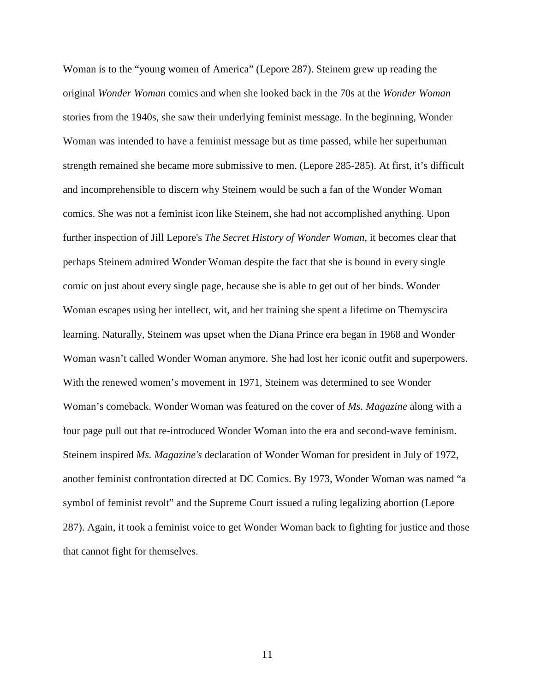Woman is to the "young women of America" (Lepore 287). Steinem grew up reading the original *Wonder Woman* comics and when she looked back in the 70s at the *Wonder Woman* stories from the 1940s, she saw their underlying feminist message. In the beginning, Wonder Woman was intended to have a feminist message but as time passed, while her superhuman strength remained she became more submissive to men. (Lepore 285-285). At first, it's difficult and incomprehensible to discern why Steinem would be such a fan of the Wonder Woman comics. She was not a feminist icon like Steinem, she had not accomplished anything. Upon further inspection of Jill Lepore's *The Secret History of Wonder Woman*, it becomes clear that perhaps Steinem admired Wonder Woman despite the fact that she is bound in every single comic on just about every single page, because she is able to get out of her binds. Wonder Woman escapes using her intellect, wit, and her training she spent a lifetime on Themyscira learning. Naturally, Steinem was upset when the Diana Prince era began in 1968 and Wonder Woman wasn't called Wonder Woman anymore. She had lost her iconic outfit and superpowers. With the renewed women's movement in 1971, Steinem was determined to see Wonder Woman's comeback. Wonder Woman was featured on the cover of *Ms. Magazine* along with a four page pull out that re-introduced Wonder Woman into the era and second-wave feminism. Steinem inspired *Ms. Magazine's* declaration of Wonder Woman for president in July of 1972, another feminist confrontation directed at DC Comics. By 1973, Wonder Woman was named "a symbol of feminist revolt" and the Supreme Court issued a ruling legalizing abortion (Lepore 287). Again, it took a feminist voice to get Wonder Woman back to fighting for justice and those that cannot fight for themselves.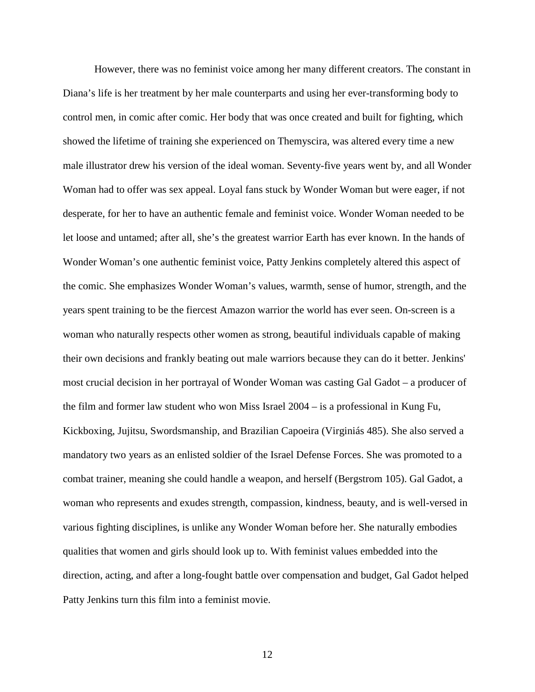However, there was no feminist voice among her many different creators. The constant in Diana's life is her treatment by her male counterparts and using her ever-transforming body to control men, in comic after comic. Her body that was once created and built for fighting, which showed the lifetime of training she experienced on Themyscira, was altered every time a new male illustrator drew his version of the ideal woman. Seventy-five years went by, and all Wonder Woman had to offer was sex appeal. Loyal fans stuck by Wonder Woman but were eager, if not desperate, for her to have an authentic female and feminist voice. Wonder Woman needed to be let loose and untamed; after all, she's the greatest warrior Earth has ever known. In the hands of Wonder Woman's one authentic feminist voice, Patty Jenkins completely altered this aspect of the comic. She emphasizes Wonder Woman's values, warmth, sense of humor, strength, and the years spent training to be the fiercest Amazon warrior the world has ever seen. On-screen is a woman who naturally respects other women as strong, beautiful individuals capable of making their own decisions and frankly beating out male warriors because they can do it better. Jenkins' most crucial decision in her portrayal of Wonder Woman was casting Gal Gadot – a producer of the film and former law student who won Miss Israel 2004 – is a professional in Kung Fu, Kickboxing, Jujitsu, Swordsmanship, and Brazilian Capoeira (Virginiás 485). She also served a mandatory two years as an enlisted soldier of the Israel Defense Forces. She was promoted to a combat trainer, meaning she could handle a weapon, and herself (Bergstrom 105). Gal Gadot, a woman who represents and exudes strength, compassion, kindness, beauty, and is well-versed in various fighting disciplines, is unlike any Wonder Woman before her. She naturally embodies qualities that women and girls should look up to. With feminist values embedded into the direction, acting, and after a long-fought battle over compensation and budget, Gal Gadot helped Patty Jenkins turn this film into a feminist movie.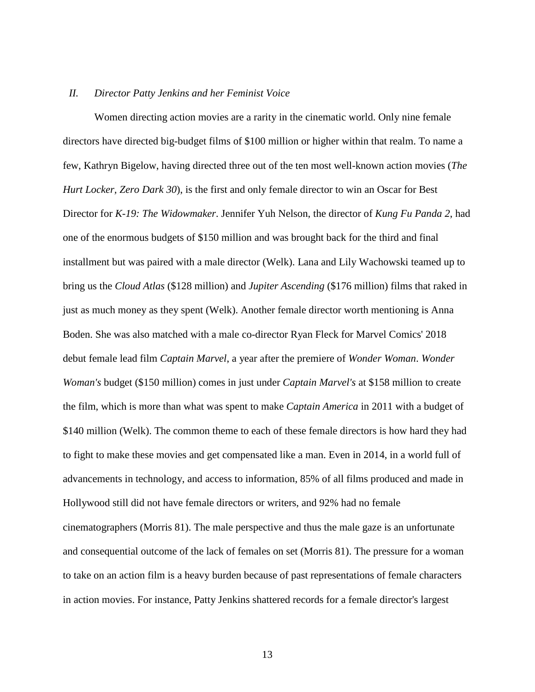#### *II. Director Patty Jenkins and her Feminist Voice*

Women directing action movies are a rarity in the cinematic world. Only nine female directors have directed big-budget films of \$100 million or higher within that realm. To name a few, Kathryn Bigelow, having directed three out of the ten most well-known action movies (*The Hurt Locker, Zero Dark 30*), is the first and only female director to win an Oscar for Best Director for *K-19: The Widowmaker*. Jennifer Yuh Nelson, the director of *Kung Fu Panda 2*, had one of the enormous budgets of \$150 million and was brought back for the third and final installment but was paired with a male director (Welk). Lana and Lily Wachowski teamed up to bring us the *Cloud Atlas* (\$128 million) and *Jupiter Ascending* (\$176 million) films that raked in just as much money as they spent (Welk). Another female director worth mentioning is Anna Boden. She was also matched with a male co-director Ryan Fleck for Marvel Comics' 2018 debut female lead film *Captain Marvel*, a year after the premiere of *Wonder Woman*. *Wonder Woman's* budget (\$150 million) comes in just under *Captain Marvel's* at \$158 million to create the film, which is more than what was spent to make *Captain America* in 2011 with a budget of \$140 million (Welk). The common theme to each of these female directors is how hard they had to fight to make these movies and get compensated like a man. Even in 2014, in a world full of advancements in technology, and access to information, 85% of all films produced and made in Hollywood still did not have female directors or writers, and 92% had no female cinematographers (Morris 81). The male perspective and thus the male gaze is an unfortunate and consequential outcome of the lack of females on set (Morris 81). The pressure for a woman to take on an action film is a heavy burden because of past representations of female characters in action movies. For instance, Patty Jenkins shattered records for a female director's largest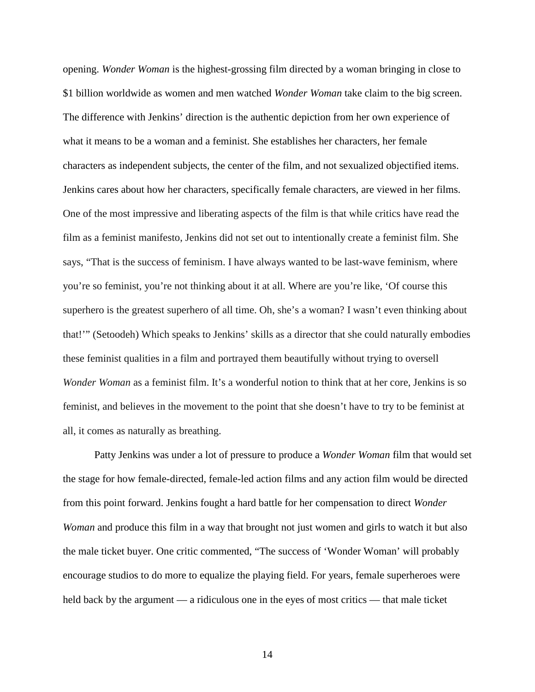opening. *Wonder Woman* is the highest-grossing film directed by a woman bringing in close to \$1 billion worldwide as women and men watched *Wonder Woman* take claim to the big screen. The difference with Jenkins' direction is the authentic depiction from her own experience of what it means to be a woman and a feminist. She establishes her characters, her female characters as independent subjects, the center of the film, and not sexualized objectified items. Jenkins cares about how her characters, specifically female characters, are viewed in her films. One of the most impressive and liberating aspects of the film is that while critics have read the film as a feminist manifesto, Jenkins did not set out to intentionally create a feminist film. She says, "That is the success of feminism. I have always wanted to be last-wave feminism, where you're so feminist, you're not thinking about it at all. Where are you're like, 'Of course this superhero is the greatest superhero of all time. Oh, she's a woman? I wasn't even thinking about that!'" (Setoodeh) Which speaks to Jenkins' skills as a director that she could naturally embodies these feminist qualities in a film and portrayed them beautifully without trying to oversell *Wonder Woman* as a feminist film. It's a wonderful notion to think that at her core, Jenkins is so feminist, and believes in the movement to the point that she doesn't have to try to be feminist at all, it comes as naturally as breathing.

Patty Jenkins was under a lot of pressure to produce a *Wonder Woman* film that would set the stage for how female-directed, female-led action films and any action film would be directed from this point forward. Jenkins fought a hard battle for her compensation to direct *Wonder Woman* and produce this film in a way that brought not just women and girls to watch it but also the male ticket buyer. One critic commented, "The success of 'Wonder Woman' will probably encourage studios to do more to equalize the playing field. For years, female superheroes were held back by the argument — a ridiculous one in the eyes of most critics — that male ticket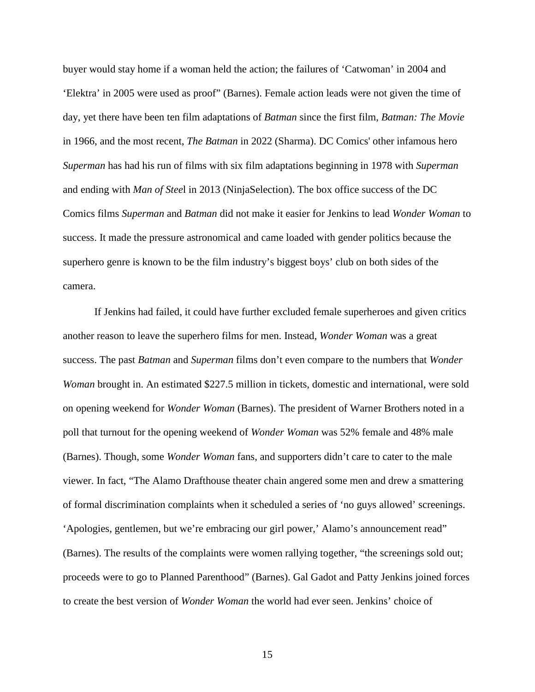buyer would stay home if a woman held the action; the failures of 'Catwoman' in 2004 and 'Elektra' in 2005 were used as proof" (Barnes). Female action leads were not given the time of day, yet there have been ten film adaptations of *Batman* since the first film, *Batman: The Movie*  in 1966, and the most recent, *The Batman* in 2022 (Sharma). DC Comics' other infamous hero *Superman* has had his run of films with six film adaptations beginning in 1978 with *Superman* and ending with *Man of Stee*l in 2013 (NinjaSelection). The box office success of the DC Comics films *Superman* and *Batman* did not make it easier for Jenkins to lead *Wonder Woman* to success. It made the pressure astronomical and came loaded with gender politics because the superhero genre is known to be the film industry's biggest boys' club on both sides of the camera.

If Jenkins had failed, it could have further excluded female superheroes and given critics another reason to leave the superhero films for men. Instead, *Wonder Woman* was a great success. The past *Batman* and *Superman* films don't even compare to the numbers that *Wonder Woman* brought in. An estimated \$227.5 million in tickets, domestic and international, were sold on opening weekend for *Wonder Woman* (Barnes). The president of Warner Brothers noted in a poll that turnout for the opening weekend of *Wonder Woman* was 52% female and 48% male (Barnes). Though, some *Wonder Woman* fans, and supporters didn't care to cater to the male viewer. In fact, "The Alamo Drafthouse theater chain angered some men and drew a smattering of formal discrimination complaints when it scheduled a series of 'no guys allowed' screenings. 'Apologies, gentlemen, but we're embracing our girl power,' Alamo's announcement read" (Barnes). The results of the complaints were women rallying together, "the screenings sold out; proceeds were to go to Planned Parenthood" (Barnes). Gal Gadot and Patty Jenkins joined forces to create the best version of *Wonder Woman* the world had ever seen. Jenkins' choice of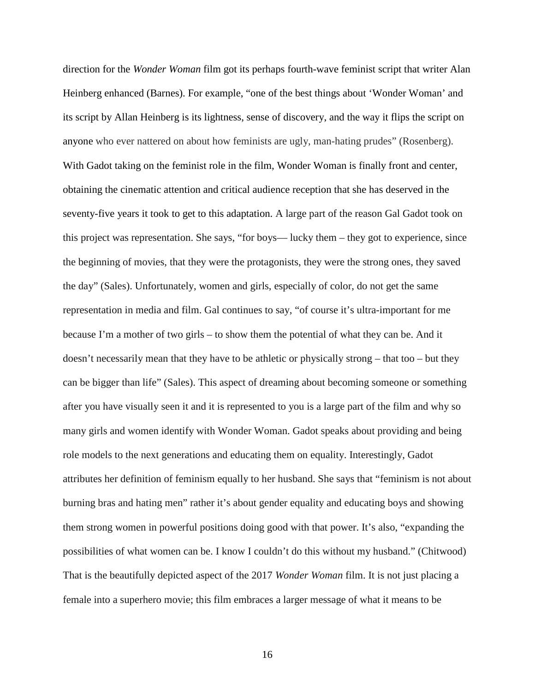direction for the *Wonder Woman* film got its perhaps fourth-wave feminist script that writer Alan Heinberg enhanced (Barnes). For example, "one of the best things about 'Wonder Woman' and its script by Allan Heinberg is its lightness, sense of discovery, and the way it flips the script on anyone who ever nattered on about how feminists are ugly, man-hating prudes" (Rosenberg). With Gadot taking on the feminist role in the film, Wonder Woman is finally front and center, obtaining the cinematic attention and critical audience reception that she has deserved in the seventy-five years it took to get to this adaptation. A large part of the reason Gal Gadot took on this project was representation. She says, "for boys— lucky them – they got to experience, since the beginning of movies, that they were the protagonists, they were the strong ones, they saved the day" (Sales). Unfortunately, women and girls, especially of color, do not get the same representation in media and film. Gal continues to say, "of course it's ultra-important for me because I'm a mother of two girls – to show them the potential of what they can be. And it doesn't necessarily mean that they have to be athletic or physically strong – that too – but they can be bigger than life" (Sales). This aspect of dreaming about becoming someone or something after you have visually seen it and it is represented to you is a large part of the film and why so many girls and women identify with Wonder Woman. Gadot speaks about providing and being role models to the next generations and educating them on equality. Interestingly, Gadot attributes her definition of feminism equally to her husband. She says that "feminism is not about burning bras and hating men" rather it's about gender equality and educating boys and showing them strong women in powerful positions doing good with that power. It's also, "expanding the possibilities of what women can be. I know I couldn't do this without my husband." (Chitwood) That is the beautifully depicted aspect of the 2017 *Wonder Woman* film. It is not just placing a female into a superhero movie; this film embraces a larger message of what it means to be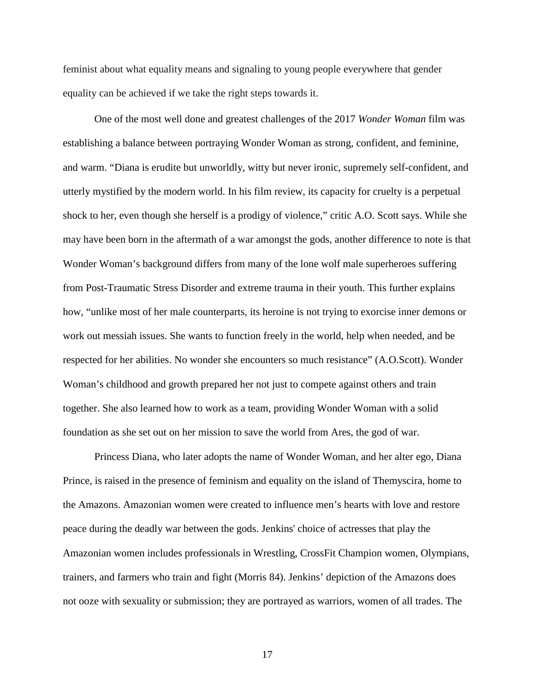feminist about what equality means and signaling to young people everywhere that gender equality can be achieved if we take the right steps towards it.

One of the most well done and greatest challenges of the 2017 *Wonder Woman* film was establishing a balance between portraying Wonder Woman as strong, confident, and feminine, and warm. "Diana is erudite but unworldly, witty but never ironic, supremely self-confident, and utterly mystified by the modern world. In his film review, its capacity for cruelty is a perpetual shock to her, even though she herself is a prodigy of violence," critic A.O. Scott says. While she may have been born in the aftermath of a war amongst the gods, another difference to note is that Wonder Woman's background differs from many of the lone wolf male superheroes suffering from Post-Traumatic Stress Disorder and extreme trauma in their youth. This further explains how, "unlike most of her male counterparts, its heroine is not trying to exorcise inner demons or work out messiah issues. She wants to function freely in the world, help when needed, and be respected for her abilities. No wonder she encounters so much resistance" (A.O.Scott). Wonder Woman's childhood and growth prepared her not just to compete against others and train together. She also learned how to work as a team, providing Wonder Woman with a solid foundation as she set out on her mission to save the world from Ares, the god of war.

Princess Diana, who later adopts the name of Wonder Woman, and her alter ego, Diana Prince, is raised in the presence of feminism and equality on the island of Themyscira, home to the Amazons. Amazonian women were created to influence men's hearts with love and restore peace during the deadly war between the gods. Jenkins' choice of actresses that play the Amazonian women includes professionals in Wrestling, CrossFit Champion women, Olympians, trainers, and farmers who train and fight (Morris 84). Jenkins' depiction of the Amazons does not ooze with sexuality or submission; they are portrayed as warriors, women of all trades. The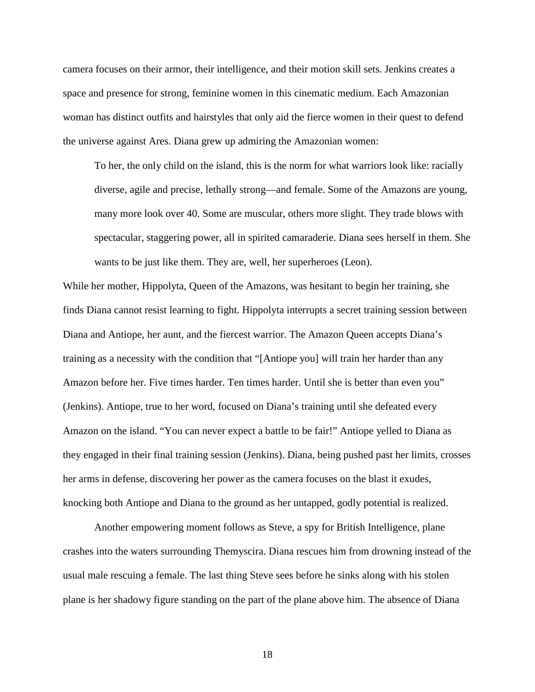camera focuses on their armor, their intelligence, and their motion skill sets. Jenkins creates a space and presence for strong, feminine women in this cinematic medium. Each Amazonian woman has distinct outfits and hairstyles that only aid the fierce women in their quest to defend the universe against Ares. Diana grew up admiring the Amazonian women:

To her, the only child on the island, this is the norm for what warriors look like: racially diverse, agile and precise, lethally strong—and female. Some of the Amazons are young, many more look over 40. Some are muscular, others more slight. They trade blows with spectacular, staggering power, all in spirited camaraderie. Diana sees herself in them. She wants to be just like them. They are, well, her superheroes (Leon).

While her mother, Hippolyta, Queen of the Amazons, was hesitant to begin her training, she finds Diana cannot resist learning to fight. Hippolyta interrupts a secret training session between Diana and Antiope, her aunt, and the fiercest warrior. The Amazon Queen accepts Diana's training as a necessity with the condition that "[Antiope you] will train her harder than any Amazon before her. Five times harder. Ten times harder. Until she is better than even you" (Jenkins). Antiope, true to her word, focused on Diana's training until she defeated every Amazon on the island. "You can never expect a battle to be fair!" Antiope yelled to Diana as they engaged in their final training session (Jenkins). Diana, being pushed past her limits, crosses her arms in defense, discovering her power as the camera focuses on the blast it exudes, knocking both Antiope and Diana to the ground as her untapped, godly potential is realized.

Another empowering moment follows as Steve, a spy for British Intelligence, plane crashes into the waters surrounding Themyscira. Diana rescues him from drowning instead of the usual male rescuing a female. The last thing Steve sees before he sinks along with his stolen plane is her shadowy figure standing on the part of the plane above him. The absence of Diana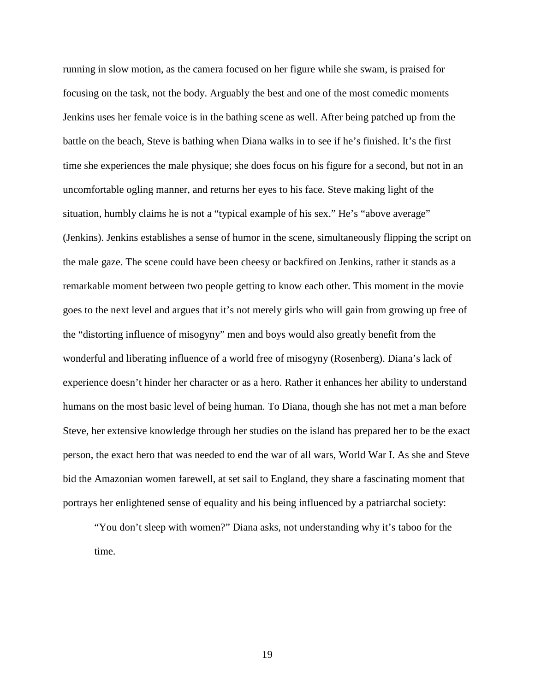running in slow motion, as the camera focused on her figure while she swam, is praised for focusing on the task, not the body. Arguably the best and one of the most comedic moments Jenkins uses her female voice is in the bathing scene as well. After being patched up from the battle on the beach, Steve is bathing when Diana walks in to see if he's finished. It's the first time she experiences the male physique; she does focus on his figure for a second, but not in an uncomfortable ogling manner, and returns her eyes to his face. Steve making light of the situation, humbly claims he is not a "typical example of his sex." He's "above average" (Jenkins). Jenkins establishes a sense of humor in the scene, simultaneously flipping the script on the male gaze. The scene could have been cheesy or backfired on Jenkins, rather it stands as a remarkable moment between two people getting to know each other. This moment in the movie goes to the next level and argues that it's not merely girls who will gain from growing up free of the "distorting influence of misogyny" men and boys would also greatly benefit from the wonderful and liberating influence of a world free of misogyny (Rosenberg). Diana's lack of experience doesn't hinder her character or as a hero. Rather it enhances her ability to understand humans on the most basic level of being human. To Diana, though she has not met a man before Steve, her extensive knowledge through her studies on the island has prepared her to be the exact person, the exact hero that was needed to end the war of all wars, World War I. As she and Steve bid the Amazonian women farewell, at set sail to England, they share a fascinating moment that portrays her enlightened sense of equality and his being influenced by a patriarchal society:

"You don't sleep with women?" Diana asks, not understanding why it's taboo for the time.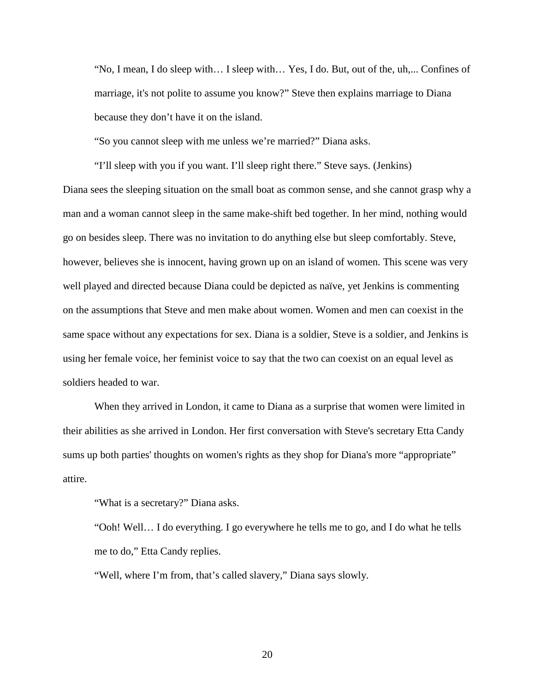"No, I mean, I do sleep with… I sleep with… Yes, I do. But, out of the, uh,... Confines of marriage, it's not polite to assume you know?" Steve then explains marriage to Diana because they don't have it on the island.

"So you cannot sleep with me unless we're married?" Diana asks.

"I'll sleep with you if you want. I'll sleep right there." Steve says. (Jenkins) Diana sees the sleeping situation on the small boat as common sense, and she cannot grasp why a man and a woman cannot sleep in the same make-shift bed together. In her mind, nothing would go on besides sleep. There was no invitation to do anything else but sleep comfortably. Steve, however, believes she is innocent, having grown up on an island of women. This scene was very well played and directed because Diana could be depicted as naïve, yet Jenkins is commenting on the assumptions that Steve and men make about women. Women and men can coexist in the same space without any expectations for sex. Diana is a soldier, Steve is a soldier, and Jenkins is using her female voice, her feminist voice to say that the two can coexist on an equal level as soldiers headed to war.

When they arrived in London, it came to Diana as a surprise that women were limited in their abilities as she arrived in London. Her first conversation with Steve's secretary Etta Candy sums up both parties' thoughts on women's rights as they shop for Diana's more "appropriate" attire.

"What is a secretary?" Diana asks.

"Ooh! Well… I do everything. I go everywhere he tells me to go, and I do what he tells me to do," Etta Candy replies.

"Well, where I'm from, that's called slavery," Diana says slowly.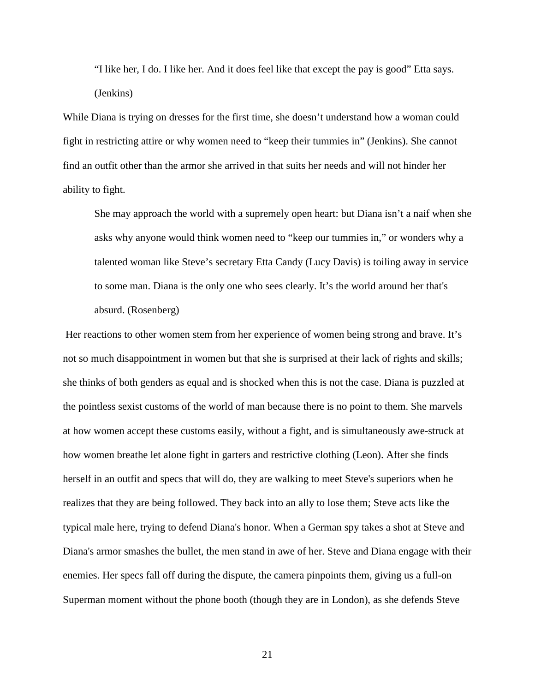"I like her, I do. I like her. And it does feel like that except the pay is good" Etta says. (Jenkins)

While Diana is trying on dresses for the first time, she doesn't understand how a woman could fight in restricting attire or why women need to "keep their tummies in" (Jenkins). She cannot find an outfit other than the armor she arrived in that suits her needs and will not hinder her ability to fight.

She may approach the world with a supremely open heart: but Diana isn't a naif when she asks why anyone would think women need to "keep our tummies in," or wonders why a talented woman like Steve's secretary Etta Candy (Lucy Davis) is toiling away in service to some man. Diana is the only one who sees clearly. It's the world around her that's absurd. (Rosenberg)

 Her reactions to other women stem from her experience of women being strong and brave. It's not so much disappointment in women but that she is surprised at their lack of rights and skills; she thinks of both genders as equal and is shocked when this is not the case. Diana is puzzled at the pointless sexist customs of the world of man because there is no point to them. She marvels at how women accept these customs easily, without a fight, and is simultaneously awe-struck at how women breathe let alone fight in garters and restrictive clothing (Leon). After she finds herself in an outfit and specs that will do, they are walking to meet Steve's superiors when he realizes that they are being followed. They back into an ally to lose them; Steve acts like the typical male here, trying to defend Diana's honor. When a German spy takes a shot at Steve and Diana's armor smashes the bullet, the men stand in awe of her. Steve and Diana engage with their enemies. Her specs fall off during the dispute, the camera pinpoints them, giving us a full-on Superman moment without the phone booth (though they are in London), as she defends Steve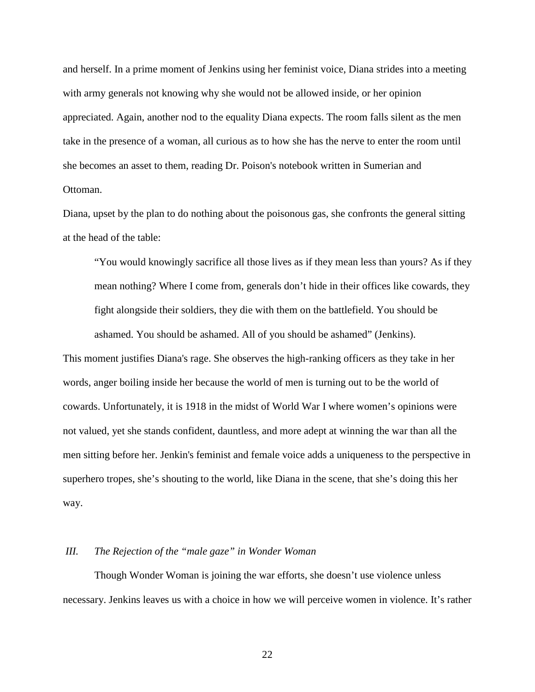and herself. In a prime moment of Jenkins using her feminist voice, Diana strides into a meeting with army generals not knowing why she would not be allowed inside, or her opinion appreciated. Again, another nod to the equality Diana expects. The room falls silent as the men take in the presence of a woman, all curious as to how she has the nerve to enter the room until she becomes an asset to them, reading Dr. Poison's notebook written in Sumerian and Ottoman.

Diana, upset by the plan to do nothing about the poisonous gas, she confronts the general sitting at the head of the table:

"You would knowingly sacrifice all those lives as if they mean less than yours? As if they mean nothing? Where I come from, generals don't hide in their offices like cowards, they fight alongside their soldiers, they die with them on the battlefield. You should be ashamed. You should be ashamed. All of you should be ashamed" (Jenkins).

This moment justifies Diana's rage. She observes the high-ranking officers as they take in her words, anger boiling inside her because the world of men is turning out to be the world of cowards. Unfortunately, it is 1918 in the midst of World War I where women's opinions were not valued, yet she stands confident, dauntless, and more adept at winning the war than all the men sitting before her. Jenkin's feminist and female voice adds a uniqueness to the perspective in superhero tropes, she's shouting to the world, like Diana in the scene, that she's doing this her way.

#### *III. The Rejection of the "male gaze" in Wonder Woman*

Though Wonder Woman is joining the war efforts, she doesn't use violence unless necessary. Jenkins leaves us with a choice in how we will perceive women in violence. It's rather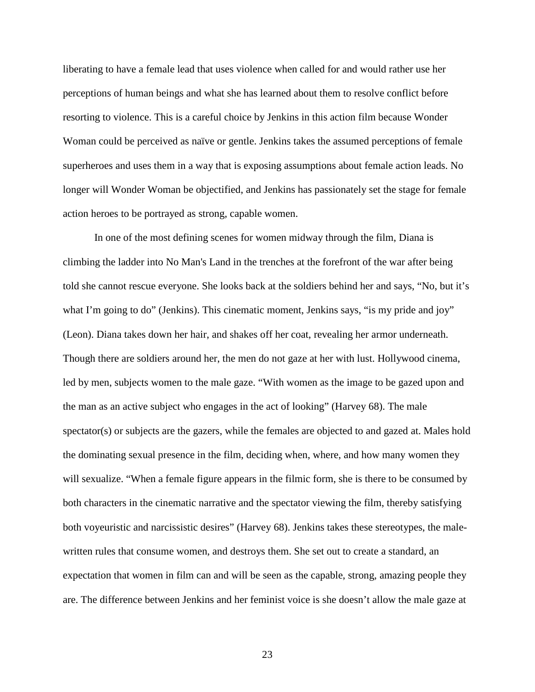liberating to have a female lead that uses violence when called for and would rather use her perceptions of human beings and what she has learned about them to resolve conflict before resorting to violence. This is a careful choice by Jenkins in this action film because Wonder Woman could be perceived as naïve or gentle. Jenkins takes the assumed perceptions of female superheroes and uses them in a way that is exposing assumptions about female action leads. No longer will Wonder Woman be objectified, and Jenkins has passionately set the stage for female action heroes to be portrayed as strong, capable women.

In one of the most defining scenes for women midway through the film, Diana is climbing the ladder into No Man's Land in the trenches at the forefront of the war after being told she cannot rescue everyone. She looks back at the soldiers behind her and says, "No, but it's what I'm going to do" (Jenkins). This cinematic moment, Jenkins says, "is my pride and joy" (Leon). Diana takes down her hair, and shakes off her coat, revealing her armor underneath. Though there are soldiers around her, the men do not gaze at her with lust. Hollywood cinema, led by men, subjects women to the male gaze. "With women as the image to be gazed upon and the man as an active subject who engages in the act of looking" (Harvey 68). The male spectator(s) or subjects are the gazers, while the females are objected to and gazed at. Males hold the dominating sexual presence in the film, deciding when, where, and how many women they will sexualize. "When a female figure appears in the filmic form, she is there to be consumed by both characters in the cinematic narrative and the spectator viewing the film, thereby satisfying both voyeuristic and narcissistic desires" (Harvey 68). Jenkins takes these stereotypes, the malewritten rules that consume women, and destroys them. She set out to create a standard, an expectation that women in film can and will be seen as the capable, strong, amazing people they are. The difference between Jenkins and her feminist voice is she doesn't allow the male gaze at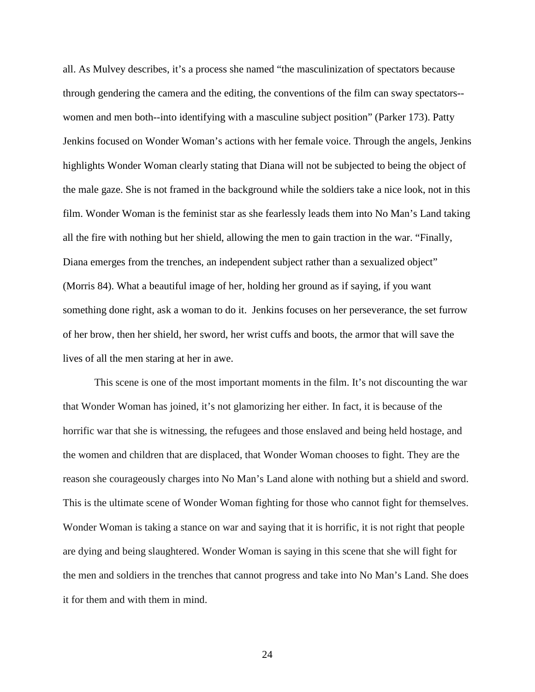all. As Mulvey describes, it's a process she named "the masculinization of spectators because through gendering the camera and the editing, the conventions of the film can sway spectators- women and men both--into identifying with a masculine subject position" (Parker 173). Patty Jenkins focused on Wonder Woman's actions with her female voice. Through the angels, Jenkins highlights Wonder Woman clearly stating that Diana will not be subjected to being the object of the male gaze. She is not framed in the background while the soldiers take a nice look, not in this film. Wonder Woman is the feminist star as she fearlessly leads them into No Man's Land taking all the fire with nothing but her shield, allowing the men to gain traction in the war. "Finally, Diana emerges from the trenches, an independent subject rather than a sexualized object" (Morris 84). What a beautiful image of her, holding her ground as if saying, if you want something done right, ask a woman to do it. Jenkins focuses on her perseverance, the set furrow of her brow, then her shield, her sword, her wrist cuffs and boots, the armor that will save the lives of all the men staring at her in awe.

This scene is one of the most important moments in the film. It's not discounting the war that Wonder Woman has joined, it's not glamorizing her either. In fact, it is because of the horrific war that she is witnessing, the refugees and those enslaved and being held hostage, and the women and children that are displaced, that Wonder Woman chooses to fight. They are the reason she courageously charges into No Man's Land alone with nothing but a shield and sword. This is the ultimate scene of Wonder Woman fighting for those who cannot fight for themselves. Wonder Woman is taking a stance on war and saying that it is horrific, it is not right that people are dying and being slaughtered. Wonder Woman is saying in this scene that she will fight for the men and soldiers in the trenches that cannot progress and take into No Man's Land. She does it for them and with them in mind.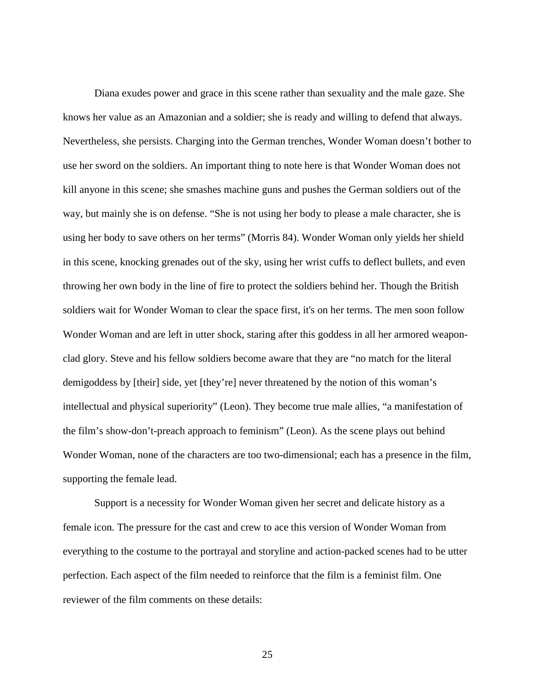Diana exudes power and grace in this scene rather than sexuality and the male gaze. She knows her value as an Amazonian and a soldier; she is ready and willing to defend that always. Nevertheless, she persists. Charging into the German trenches, Wonder Woman doesn't bother to use her sword on the soldiers. An important thing to note here is that Wonder Woman does not kill anyone in this scene; she smashes machine guns and pushes the German soldiers out of the way, but mainly she is on defense. "She is not using her body to please a male character, she is using her body to save others on her terms" (Morris 84). Wonder Woman only yields her shield in this scene, knocking grenades out of the sky, using her wrist cuffs to deflect bullets, and even throwing her own body in the line of fire to protect the soldiers behind her. Though the British soldiers wait for Wonder Woman to clear the space first, it's on her terms. The men soon follow Wonder Woman and are left in utter shock, staring after this goddess in all her armored weaponclad glory. Steve and his fellow soldiers become aware that they are "no match for the literal demigoddess by [their] side, yet [they're] never threatened by the notion of this woman's intellectual and physical superiority" (Leon). They become true male allies, "a manifestation of the film's show-don't-preach approach to feminism" (Leon). As the scene plays out behind Wonder Woman, none of the characters are too two-dimensional; each has a presence in the film, supporting the female lead.

Support is a necessity for Wonder Woman given her secret and delicate history as a female icon. The pressure for the cast and crew to ace this version of Wonder Woman from everything to the costume to the portrayal and storyline and action-packed scenes had to be utter perfection. Each aspect of the film needed to reinforce that the film is a feminist film. One reviewer of the film comments on these details: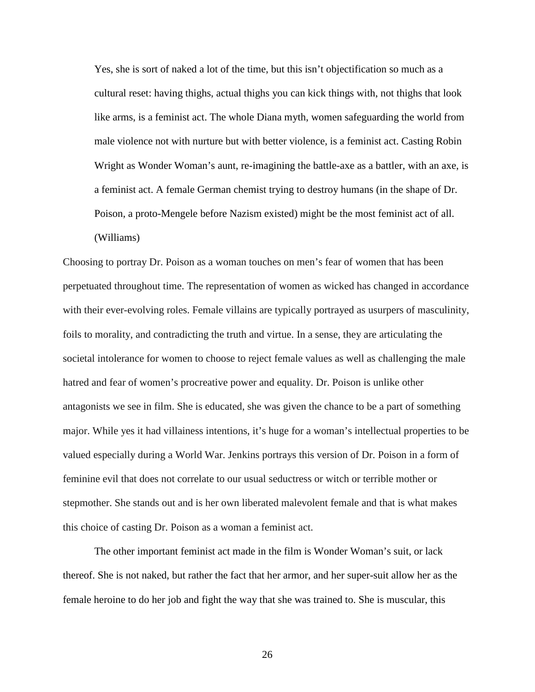Yes, she is sort of naked a lot of the time, but this isn't objectification so much as a cultural reset: having thighs, actual thighs you can kick things with, not thighs that look like arms, is a feminist act. The whole Diana myth, women safeguarding the world from male violence not with nurture but with better violence, is a feminist act. Casting Robin Wright as Wonder Woman's aunt, re-imagining the battle-axe as a battler, with an axe, is a feminist act. A female German chemist trying to destroy humans (in the shape of Dr. Poison, a proto-Mengele before Nazism existed) might be the most feminist act of all. (Williams)

Choosing to portray Dr. Poison as a woman touches on men's fear of women that has been perpetuated throughout time. The representation of women as wicked has changed in accordance with their ever-evolving roles. Female villains are typically portrayed as usurpers of masculinity, foils to morality, and contradicting the truth and virtue. In a sense, they are articulating the societal intolerance for women to choose to reject female values as well as challenging the male hatred and fear of women's procreative power and equality. Dr. Poison is unlike other antagonists we see in film. She is educated, she was given the chance to be a part of something major. While yes it had villainess intentions, it's huge for a woman's intellectual properties to be valued especially during a World War. Jenkins portrays this version of Dr. Poison in a form of feminine evil that does not correlate to our usual seductress or witch or terrible mother or stepmother. She stands out and is her own liberated malevolent female and that is what makes this choice of casting Dr. Poison as a woman a feminist act.

The other important feminist act made in the film is Wonder Woman's suit, or lack thereof. She is not naked, but rather the fact that her armor, and her super-suit allow her as the female heroine to do her job and fight the way that she was trained to. She is muscular, this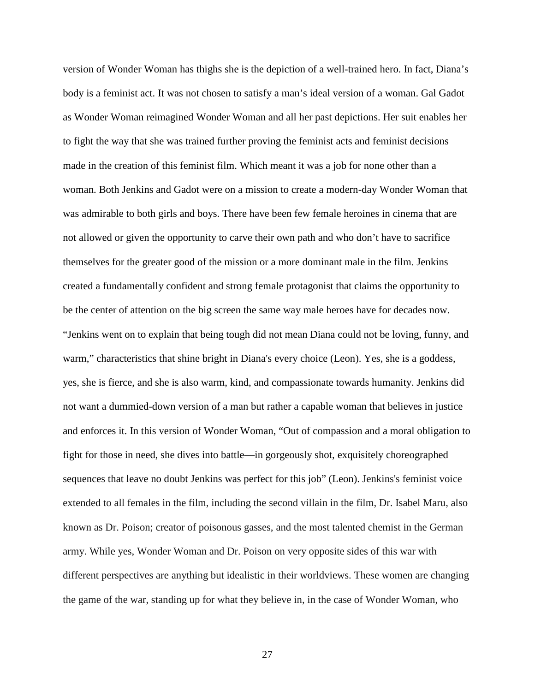version of Wonder Woman has thighs she is the depiction of a well-trained hero. In fact, Diana's body is a feminist act. It was not chosen to satisfy a man's ideal version of a woman. Gal Gadot as Wonder Woman reimagined Wonder Woman and all her past depictions. Her suit enables her to fight the way that she was trained further proving the feminist acts and feminist decisions made in the creation of this feminist film. Which meant it was a job for none other than a woman. Both Jenkins and Gadot were on a mission to create a modern-day Wonder Woman that was admirable to both girls and boys. There have been few female heroines in cinema that are not allowed or given the opportunity to carve their own path and who don't have to sacrifice themselves for the greater good of the mission or a more dominant male in the film. Jenkins created a fundamentally confident and strong female protagonist that claims the opportunity to be the center of attention on the big screen the same way male heroes have for decades now. "Jenkins went on to explain that being tough did not mean Diana could not be loving, funny, and warm," characteristics that shine bright in Diana's every choice (Leon). Yes, she is a goddess, yes, she is fierce, and she is also warm, kind, and compassionate towards humanity. Jenkins did not want a dummied-down version of a man but rather a capable woman that believes in justice and enforces it. In this version of Wonder Woman, "Out of compassion and a moral obligation to fight for those in need, she dives into battle—in gorgeously shot, exquisitely choreographed sequences that leave no doubt Jenkins was perfect for this job" (Leon). Jenkins's feminist voice extended to all females in the film, including the second villain in the film, Dr. Isabel Maru, also known as Dr. Poison; creator of poisonous gasses, and the most talented chemist in the German army. While yes, Wonder Woman and Dr. Poison on very opposite sides of this war with different perspectives are anything but idealistic in their worldviews. These women are changing the game of the war, standing up for what they believe in, in the case of Wonder Woman, who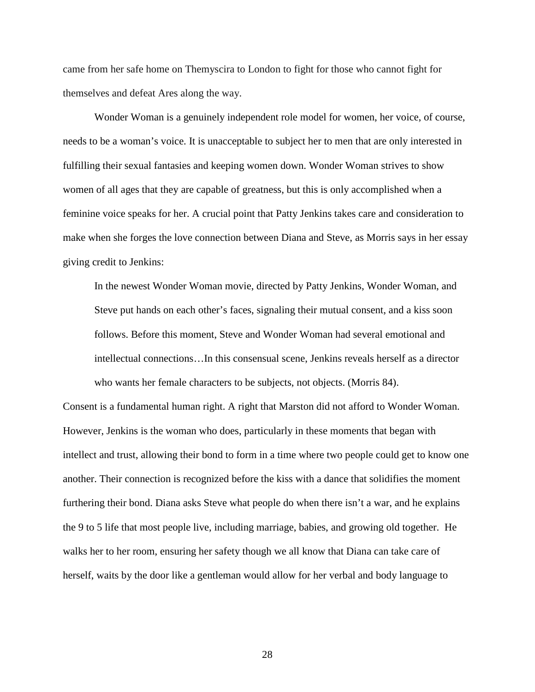came from her safe home on Themyscira to London to fight for those who cannot fight for themselves and defeat Ares along the way.

Wonder Woman is a genuinely independent role model for women, her voice, of course, needs to be a woman's voice. It is unacceptable to subject her to men that are only interested in fulfilling their sexual fantasies and keeping women down. Wonder Woman strives to show women of all ages that they are capable of greatness, but this is only accomplished when a feminine voice speaks for her. A crucial point that Patty Jenkins takes care and consideration to make when she forges the love connection between Diana and Steve, as Morris says in her essay giving credit to Jenkins:

In the newest Wonder Woman movie, directed by Patty Jenkins, Wonder Woman, and Steve put hands on each other's faces, signaling their mutual consent, and a kiss soon follows. Before this moment, Steve and Wonder Woman had several emotional and intellectual connections…In this consensual scene, Jenkins reveals herself as a director who wants her female characters to be subjects, not objects. (Morris 84).

Consent is a fundamental human right. A right that Marston did not afford to Wonder Woman. However, Jenkins is the woman who does, particularly in these moments that began with intellect and trust, allowing their bond to form in a time where two people could get to know one another. Their connection is recognized before the kiss with a dance that solidifies the moment furthering their bond. Diana asks Steve what people do when there isn't a war, and he explains the 9 to 5 life that most people live, including marriage, babies, and growing old together. He walks her to her room, ensuring her safety though we all know that Diana can take care of herself, waits by the door like a gentleman would allow for her verbal and body language to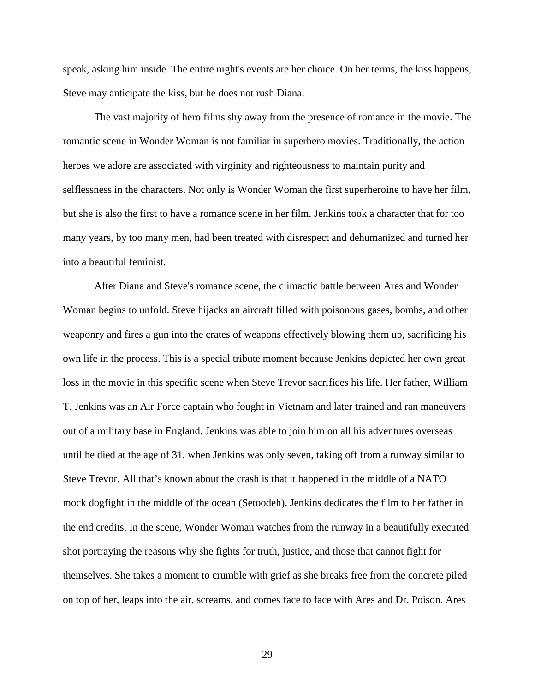speak, asking him inside. The entire night's events are her choice. On her terms, the kiss happens, Steve may anticipate the kiss, but he does not rush Diana.

The vast majority of hero films shy away from the presence of romance in the movie. The romantic scene in Wonder Woman is not familiar in superhero movies. Traditionally, the action heroes we adore are associated with virginity and righteousness to maintain purity and selflessness in the characters. Not only is Wonder Woman the first superheroine to have her film, but she is also the first to have a romance scene in her film. Jenkins took a character that for too many years, by too many men, had been treated with disrespect and dehumanized and turned her into a beautiful feminist.

After Diana and Steve's romance scene, the climactic battle between Ares and Wonder Woman begins to unfold. Steve hijacks an aircraft filled with poisonous gases, bombs, and other weaponry and fires a gun into the crates of weapons effectively blowing them up, sacrificing his own life in the process. This is a special tribute moment because Jenkins depicted her own great loss in the movie in this specific scene when Steve Trevor sacrifices his life. Her father, William T. Jenkins was an Air Force captain who fought in Vietnam and later trained and ran maneuvers out of a military base in England. Jenkins was able to join him on all his adventures overseas until he died at the age of 31, when Jenkins was only seven, taking off from a runway similar to Steve Trevor. All that's known about the crash is that it happened in the middle of a NATO mock dogfight in the middle of the ocean (Setoodeh). Jenkins dedicates the film to her father in the end credits. In the scene, Wonder Woman watches from the runway in a beautifully executed shot portraying the reasons why she fights for truth, justice, and those that cannot fight for themselves. She takes a moment to crumble with grief as she breaks free from the concrete piled on top of her, leaps into the air, screams, and comes face to face with Ares and Dr. Poison. Ares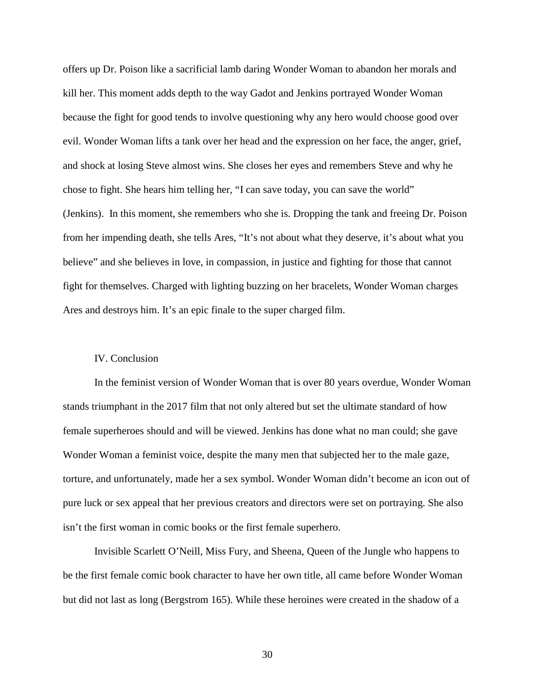offers up Dr. Poison like a sacrificial lamb daring Wonder Woman to abandon her morals and kill her. This moment adds depth to the way Gadot and Jenkins portrayed Wonder Woman because the fight for good tends to involve questioning why any hero would choose good over evil. Wonder Woman lifts a tank over her head and the expression on her face, the anger, grief, and shock at losing Steve almost wins. She closes her eyes and remembers Steve and why he chose to fight. She hears him telling her, "I can save today, you can save the world" (Jenkins). In this moment, she remembers who she is. Dropping the tank and freeing Dr. Poison from her impending death, she tells Ares, "It's not about what they deserve, it's about what you believe" and she believes in love, in compassion, in justice and fighting for those that cannot fight for themselves. Charged with lighting buzzing on her bracelets, Wonder Woman charges Ares and destroys him. It's an epic finale to the super charged film.

#### IV. Conclusion

In the feminist version of Wonder Woman that is over 80 years overdue, Wonder Woman stands triumphant in the 2017 film that not only altered but set the ultimate standard of how female superheroes should and will be viewed. Jenkins has done what no man could; she gave Wonder Woman a feminist voice, despite the many men that subjected her to the male gaze, torture, and unfortunately, made her a sex symbol. Wonder Woman didn't become an icon out of pure luck or sex appeal that her previous creators and directors were set on portraying. She also isn't the first woman in comic books or the first female superhero.

Invisible Scarlett O'Neill, Miss Fury, and Sheena, Queen of the Jungle who happens to be the first female comic book character to have her own title, all came before Wonder Woman but did not last as long (Bergstrom 165). While these heroines were created in the shadow of a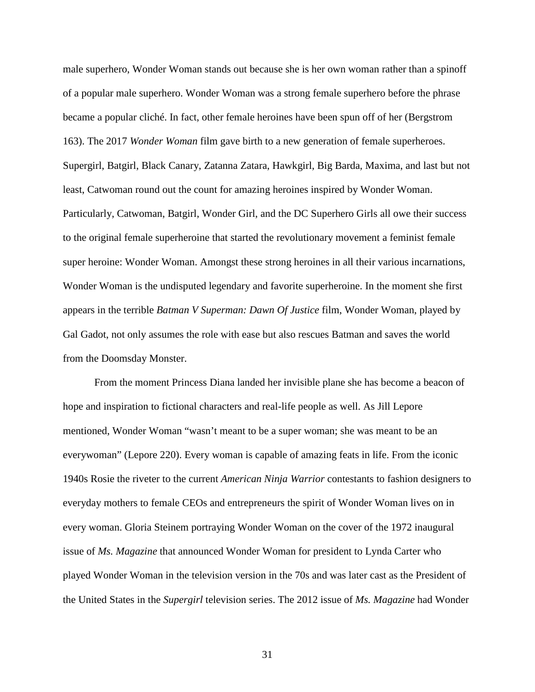male superhero, Wonder Woman stands out because she is her own woman rather than a spinoff of a popular male superhero. Wonder Woman was a strong female superhero before the phrase became a popular cliché. In fact, other female heroines have been spun off of her (Bergstrom 163). The 2017 *Wonder Woman* film gave birth to a new generation of female superheroes. Supergirl, Batgirl, Black Canary, Zatanna Zatara, Hawkgirl, Big Barda, Maxima, and last but not least, Catwoman round out the count for amazing heroines inspired by Wonder Woman. Particularly, Catwoman, Batgirl, Wonder Girl, and the DC Superhero Girls all owe their success to the original female superheroine that started the revolutionary movement a feminist female super heroine: Wonder Woman. Amongst these strong heroines in all their various incarnations, Wonder Woman is the undisputed legendary and favorite superheroine. In the moment she first appears in the terrible *Batman V Superman: Dawn Of Justice* film, Wonder Woman, played by Gal Gadot, not only assumes the role with ease but also rescues Batman and saves the world from the Doomsday Monster.

From the moment Princess Diana landed her invisible plane she has become a beacon of hope and inspiration to fictional characters and real-life people as well. As Jill Lepore mentioned, Wonder Woman "wasn't meant to be a super woman; she was meant to be an everywoman" (Lepore 220). Every woman is capable of amazing feats in life. From the iconic 1940s Rosie the riveter to the current *American Ninja Warrior* contestants to fashion designers to everyday mothers to female CEOs and entrepreneurs the spirit of Wonder Woman lives on in every woman. Gloria Steinem portraying Wonder Woman on the cover of the 1972 inaugural issue of *Ms. Magazine* that announced Wonder Woman for president to Lynda Carter who played Wonder Woman in the television version in the 70s and was later cast as the President of the United States in the *Supergirl* television series. The 2012 issue of *Ms. Magazine* had Wonder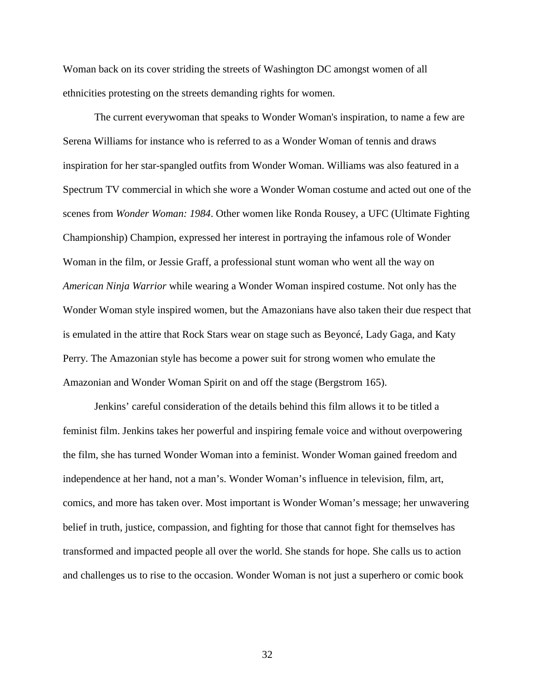Woman back on its cover striding the streets of Washington DC amongst women of all ethnicities protesting on the streets demanding rights for women.

The current everywoman that speaks to Wonder Woman's inspiration, to name a few are Serena Williams for instance who is referred to as a Wonder Woman of tennis and draws inspiration for her star-spangled outfits from Wonder Woman. Williams was also featured in a Spectrum TV commercial in which she wore a Wonder Woman costume and acted out one of the scenes from *Wonder Woman: 1984*. Other women like Ronda Rousey, a UFC (Ultimate Fighting Championship) Champion, expressed her interest in portraying the infamous role of Wonder Woman in the film, or Jessie Graff, a professional stunt woman who went all the way on *American Ninja Warrior* while wearing a Wonder Woman inspired costume. Not only has the Wonder Woman style inspired women, but the Amazonians have also taken their due respect that is emulated in the attire that Rock Stars wear on stage such as Beyoncé, Lady Gaga, and Katy Perry. The Amazonian style has become a power suit for strong women who emulate the Amazonian and Wonder Woman Spirit on and off the stage (Bergstrom 165).

Jenkins' careful consideration of the details behind this film allows it to be titled a feminist film. Jenkins takes her powerful and inspiring female voice and without overpowering the film, she has turned Wonder Woman into a feminist. Wonder Woman gained freedom and independence at her hand, not a man's. Wonder Woman's influence in television, film, art, comics, and more has taken over. Most important is Wonder Woman's message; her unwavering belief in truth, justice, compassion, and fighting for those that cannot fight for themselves has transformed and impacted people all over the world. She stands for hope. She calls us to action and challenges us to rise to the occasion. Wonder Woman is not just a superhero or comic book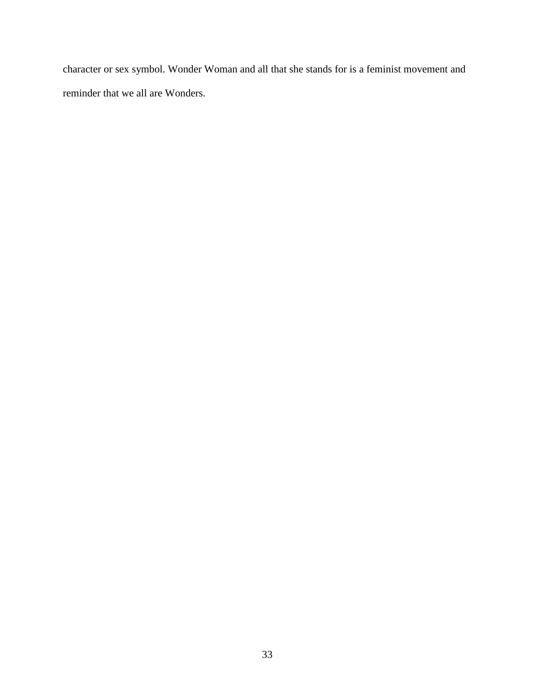character or sex symbol. Wonder Woman and all that she stands for is a feminist movement and reminder that we all are Wonders.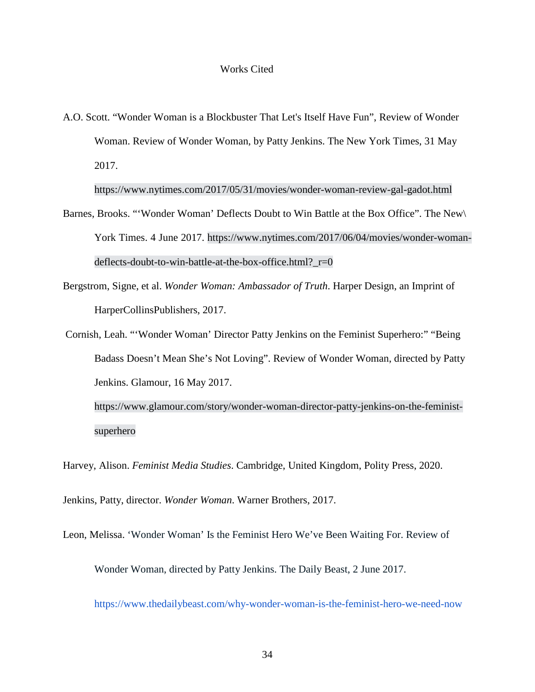A.O. Scott. "Wonder Woman is a Blockbuster That Let's Itself Have Fun", Review of Wonder Woman. Review of Wonder Woman, by Patty Jenkins. The New York Times, 31 May 2017.

https://www.nytimes.com/2017/05/31/movies/wonder-woman-review-gal-gadot.html

- Barnes, Brooks. "'Wonder Woman' Deflects Doubt to Win Battle at the Box Office". The New\ York Times. 4 June 2017. https://www.nytimes.com/2017/06/04/movies/wonder-womandeflects-doubt-to-win-battle-at-the-box-office.html?\_r=0
- Bergstrom, Signe, et al. *Wonder Woman: Ambassador of Truth*. Harper Design, an Imprint of HarperCollinsPublishers, 2017.
- Cornish, Leah. "'Wonder Woman' Director Patty Jenkins on the Feminist Superhero:" "Being Badass Doesn't Mean She's Not Loving". Review of Wonder Woman, directed by Patty Jenkins. Glamour, 16 May 2017. https://www.glamour.com/story/wonder-woman-director-patty-jenkins-on-the-feminist-

superhero

Harvey, Alison. *Feminist Media Studies*. Cambridge, United Kingdom, Polity Press, 2020.

Jenkins, Patty, director. *Wonder Woman*. Warner Brothers, 2017.

Leon, Melissa. 'Wonder Woman' Is the Feminist Hero We've Been Waiting For. Review of

Wonder Woman, directed by Patty Jenkins. The Daily Beast, 2 June 2017.

https://www.thedailybeast.com/why-wonder-woman-is-the-feminist-hero-we-need-now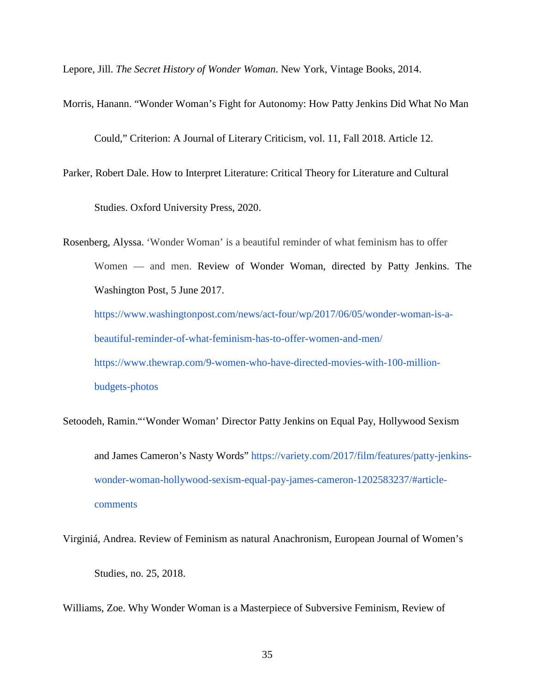Lepore, Jill. *The Secret History of Wonder Woman*. New York, Vintage Books, 2014.

Morris, Hanann. "Wonder Woman's Fight for Autonomy: How Patty Jenkins Did What No Man

Could," Criterion: A Journal of Literary Criticism, vol. 11, Fall 2018. Article 12.

Parker, Robert Dale. How to Interpret Literature: Critical Theory for Literature and Cultural

Studies. Oxford University Press, 2020.

Rosenberg, Alyssa. 'Wonder Woman' is a beautiful reminder of what feminism has to offer Women — and men. Review of Wonder Woman, directed by Patty Jenkins. The Washington Post, 5 June 2017. https://www.washingtonpost.com/news/act-four/wp/2017/06/05/wonder-woman-is-abeautiful-reminder-of-what-feminism-has-to-offer-women-and-men/ https://www.thewrap.com/9-women-who-have-directed-movies-with-100-million-

budgets-photos

Setoodeh, Ramin."'Wonder Woman' Director Patty Jenkins on Equal Pay, Hollywood Sexism and James Cameron's Nasty Words" https://variety.com/2017/film/features/patty-jenkinswonder-woman-hollywood-sexism-equal-pay-james-cameron-1202583237/#articlecomments

Virginiá, Andrea. Review of Feminism as natural Anachronism, European Journal of Women's Studies, no. 25, 2018.

Williams, Zoe. Why Wonder Woman is a Masterpiece of Subversive Feminism, Review of